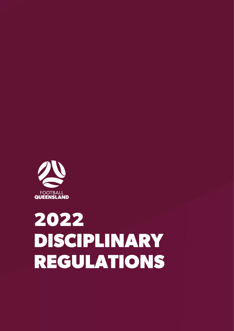

# 2022 DISCIPLINARY **REGULATIONS**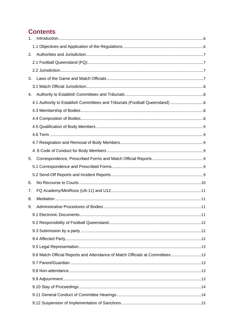# **Contents**

| 1. |                                                                              |  |
|----|------------------------------------------------------------------------------|--|
|    |                                                                              |  |
| 2. |                                                                              |  |
|    |                                                                              |  |
|    |                                                                              |  |
| 3. |                                                                              |  |
|    |                                                                              |  |
| 4. |                                                                              |  |
|    |                                                                              |  |
|    |                                                                              |  |
|    |                                                                              |  |
|    |                                                                              |  |
|    |                                                                              |  |
|    |                                                                              |  |
|    |                                                                              |  |
| 5. |                                                                              |  |
|    |                                                                              |  |
|    |                                                                              |  |
| 6. |                                                                              |  |
| 7. |                                                                              |  |
| 8. |                                                                              |  |
| 9. |                                                                              |  |
|    |                                                                              |  |
|    |                                                                              |  |
|    |                                                                              |  |
|    |                                                                              |  |
|    |                                                                              |  |
|    | 9.6 Match Official Reports and Attendance of Match Officials at Committees13 |  |
|    |                                                                              |  |
|    |                                                                              |  |
|    |                                                                              |  |
|    |                                                                              |  |
|    |                                                                              |  |
|    |                                                                              |  |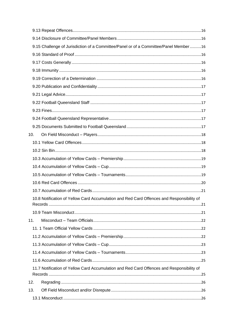|     | 9.15 Challenge of Jurisdiction of a Committee/Panel or of a Committee/Panel Member16      |  |
|-----|-------------------------------------------------------------------------------------------|--|
|     |                                                                                           |  |
|     |                                                                                           |  |
|     |                                                                                           |  |
|     |                                                                                           |  |
|     |                                                                                           |  |
|     |                                                                                           |  |
|     |                                                                                           |  |
|     |                                                                                           |  |
|     |                                                                                           |  |
|     |                                                                                           |  |
| 10. |                                                                                           |  |
|     |                                                                                           |  |
|     |                                                                                           |  |
|     |                                                                                           |  |
|     |                                                                                           |  |
|     |                                                                                           |  |
|     |                                                                                           |  |
|     |                                                                                           |  |
|     | 10.8 Notification of Yellow Card Accumulation and Red Card Offences and Responsibility of |  |
|     |                                                                                           |  |
|     |                                                                                           |  |
| 11. |                                                                                           |  |
|     |                                                                                           |  |
|     |                                                                                           |  |
|     |                                                                                           |  |
|     |                                                                                           |  |
|     |                                                                                           |  |
|     | 11.7 Notification of Yellow Card Accumulation and Red Card Offences and Responsibility of |  |
| 12. |                                                                                           |  |
| 13. |                                                                                           |  |
|     |                                                                                           |  |
|     |                                                                                           |  |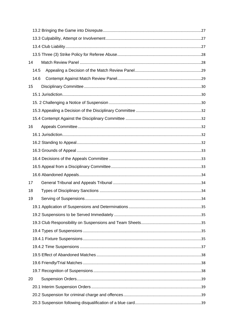| 14   |  |
|------|--|
| 14.5 |  |
| 14.6 |  |
| 15   |  |
|      |  |
|      |  |
|      |  |
|      |  |
| 16   |  |
|      |  |
|      |  |
|      |  |
|      |  |
|      |  |
|      |  |
| 17   |  |
| 18   |  |
| 19   |  |
|      |  |
|      |  |
|      |  |
|      |  |
|      |  |
|      |  |
|      |  |
|      |  |
|      |  |
| 20   |  |
|      |  |
|      |  |
|      |  |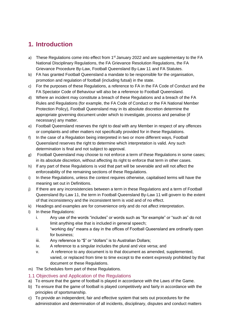# <span id="page-5-0"></span>**1. Introduction**

- a) These Regulations come into effect from  $1<sup>st</sup>$  January 2022 and are supplementary to the FA National Disciplinary Regulations, the FA Grievance Resolution Regulations, the FA Grievance Procedure By-Law, Football Queensland By-Law 11 and FA Statutes.
- b) FA has granted Football Queensland a mandate to be responsible for the organisation, promotion and regulation of football (including futsal) in the state.
- c) For the purposes of these Regulations, a reference to FA in the FA Code of Conduct and the FA Spectator Code of Behaviour will also be a reference to Football Queensland.
- d) Where an incident may constitute a breach of these Regulations and a breach of the FA Rules and Regulations (for example, the FA Code of Conduct or the FA National Member Protection Policy), Football Queensland may in its absolute discretion determine the appropriate governing document under which to investigate, process and penalise (if necessary) any matter.
- e) Football Queensland reserves the right to deal with any Member in respect of any offences or complaints and other matters not specifically provided for in these Regulations.
- f) In the case of a Regulation being interpreted in two or more different ways, Football Queensland reserves the right to determine which interpretation is valid. Any such determination is final and not subject to approval.
- g) Football Queensland may choose to not enforce a term of these Regulations in some cases; in its absolute discretion, without affecting its right to enforce that term in other cases.
- h) If any part of these Regulations is void that part will be severable and will not affect the enforceability of the remaining sections of these Regulations.
- i) In these Regulations, unless the context requires otherwise, capitalised terms will have the meaning set out in Definitions.
- j) If there are any inconsistencies between a term in these Regulations and a term of Football Queensland By-Law 11, the term in Football Queensland By-Law 11 will govern to the extent of that inconsistency and the inconsistent term is void and of no effect.
- k) Headings and examples are for convenience only and do not affect interpretation.
- l) In these Regulations:
	- i. Any use of the words "includes" or words such as "for example" or "such as" do not limit anything else that is included in general speech;
	- ii. "working day" means a day in the offices of Football Queensland are ordinarily open for business;
	- iii. Any reference to "\$" or "dollars" is to Australian Dollars;
	- iv. A reference to a singular includes the plural and vice versa; and
	- v. A reference to any document is to that document as amended, supplemented, varied, or replaced from time to time except to the extent expressly prohibited by that document or these Regulations.
- m) The Schedules form part of these Regulations.
- <span id="page-5-1"></span>1.1 Objectives and Application of the Regulations
- a) To ensure that the game of football is played in accordance with the Laws of the Game.
- b) To ensure that the game of football is played competitively and fairly in accordance with the principles of sportsmanship.
- c) To provide an independent, fair and effective system that sets out procedures for the administration and determination of all incidents, disciplinary, disputes and conduct matters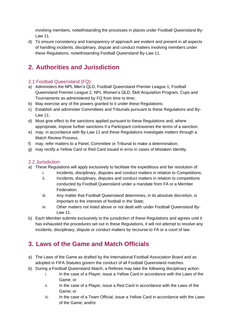involving members, notwithstanding the processes in places under Football Queensland By-Law 11.

d) To ensure consistency and transparency of approach are evident and present in all aspects of handling incidents, disciplinary, dispute and conduct matters involving members under these Regulations, notwithstanding Football Queensland By-Law 11.

# <span id="page-6-0"></span>**2. Authorities and Jurisdiction**

## <span id="page-6-1"></span>2.1 Football Queensland (FQ):

- a) Administers the NPL Men's QLD, Football Queensland Premier League 1, Football Queensland Premier League 2, NPL Women's QLD, Skill Acquisition Program, Cups and Tournaments as administered by FQ from time to time;
- b) May exercise any of the powers granted to it under these Regulations;
- c) Establish and administer Committees and Tribunals pursuant to these Regulations and By-Law 11;
- d) Must give effect to the sanctions applied pursuant to these Regulations and, where appropriate, impose further sanctions if a Participant contravenes the terms of a sanction;
- e) may, in accordance with By-Law 11 and these Regulations investigate matters through a Match Review Process;
- f) may, refer matters to a Panel, Committee or Tribunal to make a determination;
- g) may rectify a Yellow Card or Red Card issued in error in cases of Mistaken Identity.

## <span id="page-6-2"></span>2.2 Jurisdiction

- a) These Regulations will apply exclusively to facilitate the expeditious and fair resolution of:
	- i. Incidents, disciplinary, disputes and conduct matters in relation to Competitions;
	- ii. Incidents, disciplinary, disputes and conduct matters in relation to competitions conducted by Football Queensland under a mandate from FA or a Member Federation;
	- iii. Any matter that Football Queensland determines, in its absolute discretion, is important to the interests of football in the State;
	- iv. Other matters not listed above or not dealt with under Football Queensland By-Law 11.
- b) Each Member submits exclusively to the jurisdiction of these Regulations and agrees until it has exhausted the procedures set out in these Regulations, it will not attempt to resolve any incidents, disciplinary, dispute or conduct matters by recourse to FA or a court of law.

# <span id="page-6-3"></span>**3. Laws of the Game and Match Officials**

- a) The Laws of the Game as drafted by the International Football Association Board and as adopted in FIFA Statutes govern the conduct of all Football Queensland matches.
- b) During a Football Queensland Match, a Referee may take the following disciplinary action:
	- i. In the case of a Player, issue a Yellow Card in accordance with the Laws of the Game; or
	- ii. In the case of a Player, issue a Red Card in accordance with the Laws of the Game; or
	- iii. In the case of a Team Official, issue a Yellow Card in accordance with the Laws of the Game; and/or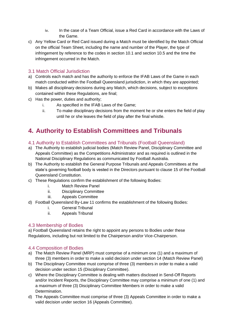- iv. In the case of a Team Official, issue a Red Card in accordance with the Laws of the Game.
- c) Any Yellow Card or Red Card issued during a Match must be identified by the Match Official on the official Team Sheet, including the name and number of the Player, the type of infringement by reference to the codes in section 10.1 and section 10.5 and the time the infringement occurred in the Match.

## <span id="page-7-0"></span>3.1 Match Official Jurisdiction

- a) Controls each match and has the authority to enforce the IFAB Laws of the Game in each match conducted within the Football Queensland jurisdiction, in which they are appointed;
- b) Makes all disciplinary decisions during any Match, which decisions, subject to exceptions contained within these Regulations, are final;
- c) Has the power, duties and authority;
	- i. As specified in the IFAB Laws of the Game;
	- ii. To make disciplinary decisions from the moment he or she enters the field of play until he or she leaves the field of play after the final whistle.

# <span id="page-7-1"></span>**4. Authority to Establish Committees and Tribunals**

## <span id="page-7-2"></span>4.1 Authority to Establish Committees and Tribunals (Football Queensland)

- a) The Authority to establish judicial bodies (Match Review Panel, Disciplinary Committee and Appeals Committee) as the Competitions Administrator and as required is outlined in the National Disciplinary Regulations as communicated by Football Australia.
- b) The Authority to establish the General Purpose Tribunals and Appeals Committees at the state's governing football body is vested in the Directors pursuant to clause 15 of the Football Queensland Constitution.
- c) These Regulations confirm the establishment of the following Bodies:
	- i. Match Review Panel
	- ii. Disciplinary Committee
	- iii. Appeals Committee
- d) Football Queensland By-Law 11 confirms the establishment of the following Bodies:
	- i. General Tribunal
	- ii. Appeals Tribunal

## <span id="page-7-3"></span>4.3 Membership of Bodies

a) Football Queensland retains the right to appoint any persons to Bodies under these Regulations, including but not limited to the Chairperson and/or Vice-Chairperson.

## <span id="page-7-4"></span>4.4 Composition of Bodies

- a) The Match Review Panel (MRP) must comprise of a minimum one (1) and a maximum of three (3) members in order to make a valid decision under section 14 (Match Review Panel)
- b) The Disciplinary Committee must comprise of three (3) members in order to make a valid decision under section 15 (Disciplinary Committee).
- c) Where the Disciplinary Committee is dealing with matters disclosed in Send-Off Reports and/or Incident Reports, the Disciplinary Committee may comprise a minimum of one (1) and a maximum of three (3) Disciplinary Committee Members in order to make a valid Determination.
- d) The Appeals Committee must comprise of three (3) Appeals Committee in order to make a valid decision under section 16 (Appeals Committee).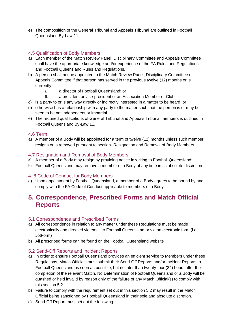e) The composition of the General Tribunal and Appeals Tribunal are outlined in Football Queensland By-Law 11.

## <span id="page-8-0"></span>4.5 Qualification of Body Members

- a) Each member of the Match Review Panel, Disciplinary Committee and Appeals Committee shall have the appropriate knowledge and/or experience of the FA Rules and Regulations and Football Queensland Rules and Regulations.
- b) A person shall not be appointed to the Match Review Panel, Disciplinary Committee or Appeals Committee if that person has served in the previous twelve (12) months or is currently:
	- i. a director of Football Queensland; or
	- ii. a president or vice-president of an Association Member or Club
- c) is a party to or is any way directly or indirectly interested in a matter to be heard; or
- d) otherwise has a relationship with any party to the matter such that the person is or may be seen to be not independent or impartial.
- e) The required qualifications of General Tribunal and Appeals Tribunal members is outlined in Football Queensland By-Law 11.

#### <span id="page-8-1"></span>4.6 Term

a) A member of a Body will be appointed for a term of twelve (12) months unless such member resigns or is removed pursuant to section- Resignation and Removal of Body Members.

#### <span id="page-8-2"></span>4.7 Resignation and Removal of Body Members

- a) A member of a Body may resign by providing notice in writing to Football Queensland;
- b) Football Queensland may remove a member of a Body at any time in its absolute discretion.

## <span id="page-8-3"></span>4. 8 Code of Conduct for Body Members

a) Upon appointment by Football Queensland, a member of a Body agrees to be bound by and comply with the FA Code of Conduct applicable to members of a Body.

# <span id="page-8-4"></span>**5. Correspondence, Prescribed Forms and Match Official Reports**

#### <span id="page-8-5"></span>5.1 Correspondence and Prescribed Forms

- a) All correspondence in relation to any matter under these Regulations must be made electronically and directed via email to Football Queensland or via an electronic form (i.e. JotForm)
- b) All prescribed forms can be found on the Football Queensland website

## <span id="page-8-6"></span>5.2 Send-Off Reports and Incident Reports

- a) In order to ensure Football Queensland provides an efficient service to Members under these Regulations, Match Officials must submit their Send-Off Reports and/or Incident Reports to Football Queensland as soon as possible, but no later than twenty-four (24) hours after the completion of the relevant Match. No Determination of Football Queensland or a Body will be quashed or held invalid by reason only of the failure of any Match Official(s) to comply with this section 5.2.
- b) Failure to comply with the requirement set out in this section 5.2 may result in the Match Official being sanctioned by Football Queensland in their sole and absolute discretion.
- c) Send-Off Report must set out the following: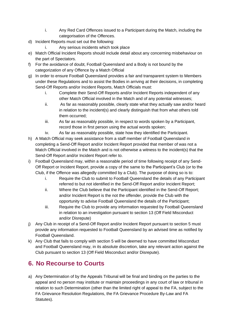- i. Any Red Card Offences issued to a Participant during the Match, including the categorisation of the Offences.
- d) Incident Reports must set out the following:
	- i. Any serious incidents which took place
- e) Match Official Incident Reports should include detail about any concerning misbehaviour on the part of Spectators.
- f) For the avoidance of doubt, Football Queensland and a Body is not bound by the categorization of any Offence by a Match Official
- g) In order to ensure Football Queensland provides a fair and transparent system to Members under these Regulations and to assist the Bodies in arriving at their decisions, in completing Send-Off Reports and/or Incident Reports, Match Officials must:
	- i. Complete their Send-Off Reports and/or Incident Reports independent of any other Match Official involved in the Match and of any potential witnesses;
	- ii. As far as reasonably possible, clearly state what they actually saw and/or heard in relation to the incident(s) and clearly distinguish that from what others told them occurred;
	- iii. As far as reasonably possible, in respect to words spoken by a Participant, record those in first person using the actual words spoken;
	- iv. As far as reasonably possible, state how they identified the Participant.
- h) A Match Official may seek assistance from a staff member of Football Queensland in completing a Send-Off Report and/or Incident Report provided that member of was not a Match Official involved in the Match and is not otherwise a witness to the incident(s) that the Send-Off Report and/or Incident Report refer to.
- i) Football Queensland may, within a reasonable period of time following receipt of any Send-Off Report or Incident Report, provide a copy of the same to the Participant's Club (or to the Club, if the Offence was allegedly committed by a Club). The purpose of doing so is to:
	- i. Require the Club to submit to Football Queensland the details of any Participant referred to but not identified in the Send-Off Report and/or Incident Report;
	- ii. Where the Club believe that the Participant identified in the Send-Off Report; and/or Incident Report is the not the offender, provide the Club with the opportunity to advise Football Queensland the details of the Participant;
	- iii. Require the Club to provide any information requested by Football Queensland in relation to an investigation pursuant to section 13 (Off Field Misconduct and/or Disrepute)
- j) Any Club in receipt of a Send-Off Report and/or Incident Report pursuant to section 5 must provide any information requested to Football Queensland by an advised time as notified by Football Queensland.
- k) Any Club that fails to comply with section 5 will be deemed to have committed Misconduct and Football Queensland may, in its absolute discretion, take any relevant action against the Club pursuant to section 13 (Off Field Misconduct and/or Disrepute).

# <span id="page-9-0"></span>**6. No Recourse to Courts**

a) Any Determination of by the Appeals Tribunal will be final and binding on the parties to the appeal and no person may institute or maintain proceedings in any court of law or tribunal in relation to such Determination (other than the limited right of appeal to the FA, subject to the FA Grievance Resolution Regulations, the FA Grievance Procedure By-Law and FA Statutes).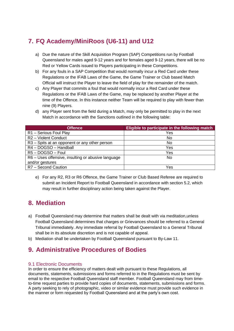# <span id="page-10-0"></span>**7. FQ Academy/MiniRoos (U6-11) and U12**

- a) Due the nature of the Skill Acquisition Program (SAP) Competitions run by Football Queensland for males aged 9-12 years and for females aged 9-12 years, there will be no Red or Yellow Cards issued to Players participating in these Competitions.
- b) For any fouls in a SAP Competition that would normally incur a Red Card under these Regulations or the IFAB Laws of the Game, the Game Trainer or Club based Match Official will instruct the Player to leave the field of play for the remainder of the match.
- c) Any Player that commits a foul that would normally incur a Red Card under these Regulations or the IFAB Laws of the Game, may be replaced by another Player at the time of the Offence. In this instance neither Team will be required to play with fewer than nine (9) Players.
- d) any Player sent from the field during a Match, may only be permitted to play in the next Match in accordance with the Sanctions outlined in the following table:

| <b>Offence</b>                                     | <b>Eligible to participate in the following match</b> |
|----------------------------------------------------|-------------------------------------------------------|
| R1 - Serious Foul Play                             | Yes                                                   |
| R2 - Violent Conduct                               | No                                                    |
| R3 - Spits at an opponent or any other person      | No                                                    |
| R4-DOGSO-Handball                                  | Yes                                                   |
| R5-DOGSO-Foul                                      | Yes                                                   |
| R6 – Uses offensive, insulting or abusive language | No.                                                   |
| and/or gestures                                    |                                                       |
| R7 - Second Caution                                | Yes                                                   |

e) For any R2, R3 or R6 Offence, the Game Trainer or Club Based Referee are required to submit an Incident Report to Football Queensland in accordance with section 5.2, which may result in further disciplinary action being taken against the Player.

# <span id="page-10-1"></span>**8. Mediation**

- a) Football Queensland may determine that matters shall be dealt with via meditation,unless Football Queensland determines that charges or Grievances should be referred to a General Tribunal immediately. Any immediate referral by Football Queensland to a General Tribunal shall be in its absolute discretion and is not capable of appeal.
- b) Mediation shall be undertaken by Football Queensland pursuant to By-Law 11.

# <span id="page-10-2"></span>**9. Administrative Procedures of Bodies**

## <span id="page-10-3"></span>9.1 Electronic Documents

In order to ensure the efficiency of matters dealt with pursuant to these Regulations, all documents, statements, submissions and forms referred to in the Regulations must be sent by email to the respective Football Queensland staff member. Football Queensland may from timeto-time request parties to provide hard copies of documents, statements, submissions and forms. A party seeking to rely of photographic, video or similar evidence must provide such evidence in the manner or form requested by Football Queensland and at the party's own cost.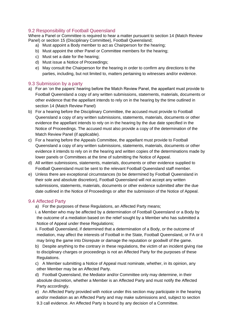#### <span id="page-11-0"></span>9.2 Responsibility of Football Queensland

Where a Panel or Committee is required to hear a matter pursuant to section 14 (Match Review Panel) or section 15 (Disciplinary Committee), Football Queensland;

- a) Must appoint a Body member to act as Chairperson for the hearing;
- b) Must appoint the other Panel or Committee members for the hearing;
- c) Must set a date for the hearing;
- d) Must issue a Notice of Proceedings;
- e) May consult the Chairperson for the hearing in order to confirm any directions to the parties, including, but not limited to, matters pertaining to witnesses and/or evidence.

#### <span id="page-11-1"></span>9.3 Submission by a party

- a) For an 'on the papers' hearing before the Match Review Panel, the appellant must provide to Football Queensland a copy of any written submissions, statements, materials, documents or other evidence that the appellant intends to rely on in the hearing by the time outlined in section 14 (Match Review Panel)
- b) For a hearing before the Disciplinary Committee, the accused must provide to Football Queensland a copy of any written submissions, statements, materials, documents or other evidence the appellant intends to rely on in the hearing by the due date specified in the Notice of Proceedings. The accused must also provide a copy of the determination of the Match Review Panel (if applicable).
- c) For a hearing before the Appeals Committee, the appellant must provide to Football Queensland a copy of any written submissions, statements, materials, documents or other evidence it intends to rely on in the hearing and written copies of the determinations made by lower panels or Committees at the time of submitting the Notice of Appeal.
- d) All written submissions, statements, materials, documents or other evidence supplied to Football Queensland must be sent to the relevant Football Queensland staff member.
- e) Unless there are exceptional circumstances (to be determined by Football Queensland in their sole and absolute discretion), Football Queensland will not accept any written submissions, statements, materials, documents or other evidence submitted after the due date outlined in the Notice of Proceedings or after the submission of the Notice of Appeal.

#### <span id="page-11-2"></span>9.4 Affected Party

a) For the purposes of these Regulations, an Affected Party means;

i. a Member who may be affected by a determination of Football Queensland or a Body by the outcome of a mediation based on the relief sought by a Member who has submitted a Notice of Appeal under these Regulations;

ii. Football Queensland, if determined that a determination of a Body, or the outcome of mediation, may affect the interests of Football in the State, Football Queensland, or FA or it may bring the game into Disrepute or damage the reputation or goodwill of the game.

- b) Despite anything to the contrary in these regulations, the victim of an incident giving rise to disciplinary charges or proceedings is not an Affected Party for the purposes of these Regulations.
- c) A Member submitting a Notice of Appeal must nominate, whether, in its opinion, any other Member may be an Affected Party.
- d) Football Queensland, the Mediator and/or Committee only may determine, in their absolute discretion, whether a Member is an Affected Party and must notify the Affected Party accordingly.
- e) An Affected Party provided with notice under this section may participate in the hearing and/or mediation as an Affected Party and may make submissions and, subject to section 9.3 call evidence. An Affected Party is bound by any decision of a Committee.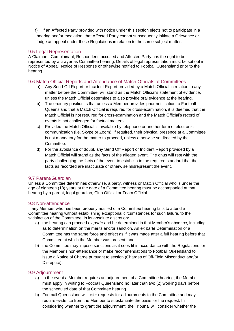f) If an Affected Party provided with notice under this section elects not to participate in a hearing and/or mediation, that Affected Party cannot subsequently initiate a Grievance or lodge an appeal under these Regulations in relation to the same subject matter.

## <span id="page-12-0"></span>9.5 Legal Representation

A Claimant, Complainant, Respondent, accused and Affected Party has the right to be represented by a lawyer as Committee hearing. Details of legal representation must be set out in Notice of Appeal, Notice of Response or otherwise notified to Football Queensland prior to the hearing.

#### <span id="page-12-1"></span>9.6 Match Official Reports and Attendance of Match Officials at Committees

- a) Any Send-Off Report or Incident Report provided by a Match Official in relation to any matter before the Committee, will stand as the Match Official's statement of evidence, unless the Match Official determines to also provide oral evidence at the hearing.
- b) The ordinary position is that unless a Member provides prior notification to Football Queensland that a Match Official is required for cross-examination, it is deemed that the Match Official is not required for cross-examination and the Match Official's record of events is not challenged for factual matters.
- c) Provided the Match Official is available by telephone or another form of electronic communication (i.e. Skype or Zoom), if required, their physical presence at a Committee is not mandatory for the matter to proceed, unless otherwise so directed by the Committee.
- d) For the avoidance of doubt, any Send Off Report or Incident Report provided by a Match Official will stand as the facts of the alleged event. The onus will rest with the party challenging the facts of the event to establish to the required standard that the facts as recorded are inaccurate or otherwise misrepresent the event.

#### <span id="page-12-2"></span>9.7 Parent/Guardian

Unless a Committee determines otherwise, a party, witness or Match Official who is under the age of eighteen (18) years at the date of a Committee hearing must be accompanied at that hearing by a parent, legal guardian, Club Official or Team Official.

#### <span id="page-12-3"></span>9.8 Non-attendance

If any Member who has been properly notified of a Committee hearing fails to attend a Committee hearing without establishing exceptional circumstances for such failure, to the satisfaction of the Committee, in its absolute discretion:

- a) the hearing can proceed *ex parte* and be determined in that Member's absence, including as to determination on the merits and/or sanction. An *ex parte* Determination of a Committee has the same force and effect as if it was made after a full hearing before that Committee at which the Member was present; and
- b) the Committee may impose sanctions as it sees fit in accordance with the Regulations for the Member's non-attendance or make recommendations to Football Queensland to issue a Notice of Charge pursuant to section (Charges of Off-Field Misconduct and/or Disrepute).

## <span id="page-12-4"></span>9.9 Adjournment

- a) In the event a Member requires an adjournment of a Committee hearing, the Member must apply in writing to Football Queensland no later than two (2) working days before the scheduled date of that Committee hearing.
- b) Football Queensland will refer requests for adjournments to the Committee and may require evidence from the Member to substantiate the basis for the request. In considering whether to grant the adjournment, the Tribunal will consider whether the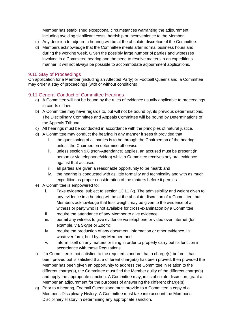Member has established exceptional circumstances warranting the adjournment, including avoiding significant costs, hardship or inconvenience to the Member.

- c) Any decision to adjourn a hearing will be at the absolute discretion of the Committee.
- d) Members acknowledge that the Committee meets after normal business hours and during the working week. Given the possibly large number of parties and witnesses involved in a Committee hearing and the need to resolve matters in an expeditious manner, it will not always be possible to accommodate adjournment applications.

#### <span id="page-13-0"></span>9.10 Stay of Proceedings

On application for a Member (including an Affected Party) or Football Queensland, a Committee may order a stay of proceedings (with or without conditions).

#### <span id="page-13-1"></span>9.11 General Conduct of Committee Hearings

- a) A Committee will not be bound by the rules of evidence usually applicable to proceedings in courts of law.
- b) A Committee may have regards to, but will not be bound by, its previous determinations. The Disciplinary Committee and Appeals Committee will be bound by Determinations of the Appeals Tribunal
- c) All hearings must be conducted in accordance with the principles of natural justice.
- d) A Committee may conduct the hearing in any manner it sees fit provided that:
	- i. the questioning of all parties is to be through the Chairperson of the hearing, unless the Chairperson determine otherwise;
	- ii. unless section 9.8 (Non-Attendance) applies, an accused must be present (in person or via telephone/video) while a Committee receives any oral evidence against that accused;
	- iii. all parties are given a reasonable opportunity to be heard; and
	- iv. the hearing is conducted with as little formality and technicality and with as much expedition as proper consideration of the matters before it permits.
- e) A Committee is empowered to:
	- i. Take evidence, subject to section 13.11 (k). The admissibility and weight given to any evidence in a hearing will be at the absolute discretion of a Committee, but Members acknowledge that less weight may be given to the evidence of a witness or party who is not available for cross-examination by a Committee;
	- ii. require the attendance of any Member to give evidence;
	- iii. permit any witness to give evidence via telephone or video over internet (for example, via Skype or Zoom);
	- iv. require the production of any document, information or other evidence, in whatever form, held by any Member; and
	- v. Inform itself on any matters or thing in order to properly carry out its function in accordance with these Regulations.
- f) If a Committee is not satisfied to the required standard that a charge(s) before it has been proved but is satisfied that a different charge(s) has been proved, then provided the Member has been given an opportunity to address the Committee in relation to the different charge(s), the Committee must find the Member guilty of the different charge(s) and apply the appropriate sanction. A Committee may, in its absolute discretion, grant a Member an adjournment for the purposes of answering the different charge(s).
- g) Prior to a hearing, Football Queensland must provide to a Committee a copy of a Member's Disciplinary History. A Committee must take into account the Member's Disciplinary History in determining any appropriate sanction.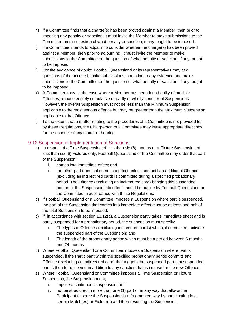- h) If a Committee finds that a charge(s) has been proved against a Member, then prior to imposing any penalty or sanction, it must invite the Member to make submissions to the Committee on the question of what penalty or sanction, if any, ought to be imposed.
- i) If a Committee intends to adjourn to consider whether the charge(s) has been proved against a Member, then prior to adjourning, it must invite the Member to make submissions to the Committee on the question of what penalty or sanction, if any, ought to be imposed.
- j) For the avoidance of doubt, Football Queensland or its representatives may ask questions of the accused, make submissions in relation to any evidence and make submissions to the Committee on the question of what penalty or sanction, if any, ought to be imposed.
- k) A Committee may, in the case where a Member has been found guilty of multiple Offences, impose entirely cumulative or partly or wholly concurrent Suspensions. However, the overall Suspension must not be less than the Minimum Suspension applicable to the most serious offence but may be greater than the Maximum Suspension applicable to that Offence.
- l) To the extent that a matter relating to the procedures of a Committee is not provided for by these Regulations, the Chairperson of a Committee may issue appropriate directions for the conduct of any matter or hearing.

## <span id="page-14-0"></span>9.12 Suspension of Implementation of Sanctions

- a) In respect of a Time Suspension of less than six (6) months or a Fixture Suspension of less than six (6) Fixtures only, Football Queensland or the Committee may order that part of the Suspension:
	- i. comes into immediate effect; and
	- ii. the other part does not come into effect unless and until an additional Offence (excluding an indirect red card) is committed during a specified probationary period. The Offence (excluding an indirect red card) bringing this suspended portion of the Suspension into effect should be outline by Football Queensland or the Committee in accordance with these Regulations.
- b) If Football Queensland or a Committee imposes a Suspension where part is suspended, the part of the Suspension that comes into immediate effect must be at least one half of the total Suspension to be imposed.
- c) If, in accordance with section 13.12(a), a Suspension partly takes immediate effect and is partly suspended for a probationary period, the suspension must specify:
	- i. The types of Offences (excluding indirect red cards) which, if committed, activate the suspended part of the Suspension; and
	- ii. The length of the probationary period which must be a period between 6 months and 24 months.
- d) Where Football Queensland or a Committee imposes a Suspension where part is suspended, if the Participant within the specified probationary period commits and Offence (excluding an indirect red card) that triggers the suspended part that suspended part is then to be served in addition to any sanction that is impose for the new Offence.
- e) Where Football Queensland or Committee imposes a Time Suspension or Fixture Suspension, the Suspension must;
	- i. impose a continuous suspension; and
	- ii. not be structured in more than one (1) part or in any way that allows the Participant to serve the Suspension in a fragmented way by participating in a certain Match(es) or Fixture(s) and then resuming the Suspension.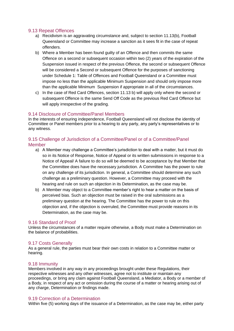#### <span id="page-15-0"></span>9.13 Repeat Offences

- a) Recidivism is an aggravating circumstance and, subject to section 11.13(b), Football Queensland or Committee may increase a sanction as it sees fit in the case of repeat offenders.
- b) Where a Member has been found guilty of an Offence and then commits the same Offence on a second or subsequent occasion within two (2) years of the expiration of the Suspension issued in respect of the previous Offence, the second or subsequent Offence will be considered a Second or subsequent Offence for the purposes of sanctioning under Schedule 1: Table of Offences and Football Queensland or a Committee must impose no less than the applicable Minimum Suspension and should only impose more than the applicable Minimum Suspension if appropriate in all of the circumstances.
- c) In the case of Red Card Offences, section 11.13 b) will apply only where the second or subsequent Offence is the same Send Off Code as the previous Red Card Offence but will apply irrespective of the grading.

#### <span id="page-15-1"></span>9.14 Disclosure of Committee/Panel Members

In the interests of ensuring independence, Football Queensland will not disclose the identity of Committee or Panel members prior to a hearing to any party, any party's representatives or to any witness.

#### <span id="page-15-2"></span>9.15 Challenge of Jurisdiction of a Committee/Panel or of a Committee/Panel Member

- a) A Member may challenge a Committee's jurisdiction to deal with a matter, but it must do so in its Notice of Response, Notice of Appeal or its written submissions in response to a Notice of Appeal/ A failure to do so will be deemed to be acceptance by that Member that the Committee does have the necessary jurisdiction. A Committee has the power to rule on any challenge of its jurisdiction. In general, a Committee should determine any such challenge as a preliminary question. However, a Committee may proceed with the hearing and rule on such an objection in its Determination, as the case may be.
- b) A Member may object to a Committee member's right to hear a matter on the basis of perceived bias. Such an objection must be raised in the oral submissions as a preliminary question at the hearing. The Committee has the power to rule on this objection and, if the objection is overruled, the Committee must provide reasons in its Determination, as the case may be.

#### <span id="page-15-3"></span>9.16 Standard of Proof

Unless the circumstances of a matter require otherwise, a Body must make a Determination on the balance of probabilities.

#### <span id="page-15-4"></span>9.17 Costs Generally

As a general rule, the parties must bear their own costs in relation to a Committee matter or hearing.

#### <span id="page-15-5"></span>9.18 Immunity

Members involved in any way in any proceedings brought under these Regulations, their respective witnesses and any other witnesses, agree not to institute or maintain any proceedings, or bring any claim against Football Queensland, a Mediator, a Body or a member of a Body, in respect of any act or omission during the course of a matter or hearing arising out of any charge, Determination or findings made.

#### <span id="page-15-6"></span>9.19 Correction of a Determination

Within five (5) working days of the issuance of a Determination, as the case may be, either party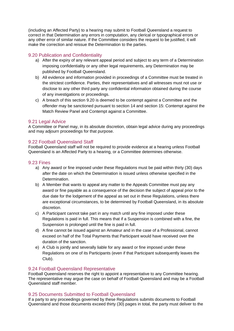(including an Affected Party) to a hearing may submit to Football Queensland a request to correct in that Determination any errors in computation, any clerical or typographical errors or any other error of similar nature. If the Committee considers the request to be justified, it will make the correction and reissue the Determination to the parties.

#### <span id="page-16-0"></span>9.20 Publication and Confidentiality

- a) After the expiry of any relevant appeal period and subject to any term of a Determination imposing confidentiality or any other legal requirements, any Determination may be published by Football Queensland.
- b) All evidence and information provided in proceedings of a Committee must be treated in the strictest confidence. Parties, their representatives and all witnesses must not use or disclose to any other third party any confidential information obtained during the course of any investigations or proceedings.
- c) A breach of this section 9.20 is deemed to be contempt against a Committee and the offender may be sanctioned pursuant to section 14 and section 15: Contempt against the Match Review Panel and Contempt against a Committee.

#### <span id="page-16-1"></span>9.21 Legal Advice

A Committee or Panel may, in its absolute discretion, obtain legal advice during any proceedings and may adjourn proceedings for that purpose.

#### <span id="page-16-2"></span>9.22 Football Queensland Staff

Football Queensland staff will not be required to provide evidence at a hearing unless Football Queensland is an Affected Party to a hearing, or a Committee determines otherwise.

#### <span id="page-16-3"></span>9.23 Fines

- a) Any award or fine imposed under these Regulations must be paid within thirty (30) days after the date on which the Determination is issued unless otherwise specified in the Determination.
- b) A Member that wants to appeal any matter to the Appeals Committee must pay any award or fine payable as a consequence of the decision the subject of appeal prior to the due date for the lodgement of the appeal as set out in these Regulations, unless there are exceptional circumstances, to be determined by Football Queensland, in its absolute discretion.
- c) A Participant cannot take part in any match until any fine imposed under these Regulations is paid in full. This means that if a Suspension is combined with a fine, the Suspension is prolonged until the fine is paid in full.
- d) A fine cannot be issued against an Amateur and in the case of a Professional, cannot exceed on half of the Total Payments that Participant would have received over the duration of the sanction.
- e) A Club is jointly and severally liable for any award or fine imposed under these Regulations on one of its Participants (even if that Participant subsequently leaves the Club).

#### <span id="page-16-4"></span>9.24 Football Queensland Representative

Football Queensland reserves the right to appoint a representative to any Committee hearing. The representative may argue the case on behalf of Football Queensland and may be a Football Queensland staff member.

#### <span id="page-16-5"></span>9.25 Documents Submitted to Football Queensland

If a party to any proceedings governed by these Regulations submits documents to Football Queensland and those documents exceed thirty (30) pages in total, the party must deliver to the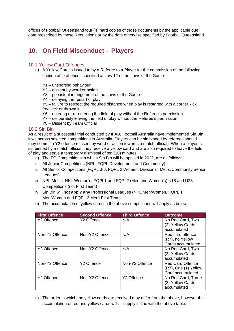offices of Football Queensland four (4) hard copies of those documents by the applicable due date prescribed by these Regulations or by the date otherwise specified by Football Queensland.

# <span id="page-17-0"></span>**10. On Field Misconduct – Players**

#### <span id="page-17-1"></span>10.1 Yellow Card Offences

- a) A Yellow Card is issued to by a Referee to a Player for the commission of the following caution able offences specified at Law 12 of the Laws of the Game:
	- Y1 unsporting behaviour
	- Y2 dissent by word or action
	- Y3 persistent infringement of the Laws of the Game
	- Y4 delaying the restart of play

Y5 – failure to respect the required distance when play is restarted with a corner kick, free kick or thrown in

- Y6 entering or re-entering the field of play without the Referee's permission
- Y7 deliberately leaving the field of play without the Referee's permission
- Y8 Dissent by Team Official

#### <span id="page-17-2"></span>10.2 Sin Bin

As a result of a successful trial conducted by IFAB, Football Australia have implemented Sin Bin laws across selected competitions in Australia. Players can be sin binned by referees should they commit a Y2 offence (dissent by word or action towards a match official). When a player is sin binned by a match official, they receive a yellow card and are also required to leave the field of play and serve a temporary dismissal of ten (10) minutes.

- a) The FQ Competitions in which Sin Bin will be applied in 2022, are as follows:
- i. All Junior Competitions (NPL, FQPL Development and Community)
- ii. All Senior Competitions (FQPL 3-6, FQPL 2 Women, Divisional, Metro/Community Senior Leagues)
- iii. NPL Men's, NPL Women's, FQPL1 and FQPL2 (Men and Women's) U18 and U23 Competitions (not First Team)
- iv. Sin Bin will **not apply any** Professional Leagues (NPL Men/Women, FQPL 1 Men/Women and FQPL 2 Men) First Team.
- b) The accumulation of yellow cards in the above competitions will apply as below:

| <b>First Offence</b>   | <b>Second Offence</b> | <b>Third Offence</b> | <b>Outcome</b>          |
|------------------------|-----------------------|----------------------|-------------------------|
| Y <sub>2</sub> Offence | Y2 Offence            | N/A                  | No Red Card, Two        |
|                        |                       |                      | (2) Yellow Cards        |
|                        |                       |                      | accumulated             |
| Non-Y2 Offence         | Non-Y2 Offence        | N/A                  | Red card offence        |
|                        |                       |                      | (R7), no Yellow         |
|                        |                       |                      | Cards accumulated       |
| Y2 Offence             | Non-Y2 Offence        | N/A                  | No Red Card, Two        |
|                        |                       |                      | (2) Yellow Cards        |
|                        |                       |                      | accumulated             |
| Non-Y2 Offence         | Y2 Offence            | Non-Y2 Offence       | <b>Red Card Offence</b> |
|                        |                       |                      | (R7), One (1) Yellow    |
|                        |                       |                      | Card accumulated        |
| Y2 Offence             | Non-Y2 Offence        | Y2 Offence           | No Red Card, Three      |
|                        |                       |                      | (3) Yellow Cards        |
|                        |                       |                      | accumulated             |

c) The order in which the yellow cards are received may differ from the above, however the accumulation of red and yellow cards will still apply in line with the above table.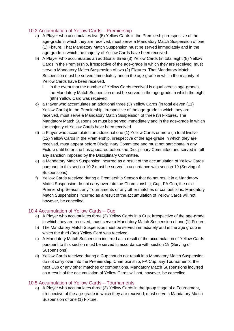## <span id="page-18-0"></span>10.3 Accumulation of Yellow Cards – Premiership

- a) A Player who accumulates five (5) Yellow Cards in the Premiership irrespective of the age-grade in which they are received, must serve a Mandatory Match Suspension of one (1) Fixture. That Mandatory Match Suspension must be served immediately and in the age-grade in which the majority of Yellow Cards have been received.
- b) A Player who accumulates an additional three (3) Yellow Cards (in total eight (8) Yellow Cards in the Premiership, irrespective of the age-grade in which they are received, must serve a Mandatory Match Suspension of two (2) Fixtures. That Mandatory Match Suspension must be served immediately and in the age-grade in which the majority of Yellow Cards have been received.
	- i. In the event that the number of Yellow Cards received is equal across age-grades, the Mandatory Match Suspension must be served in the age-grade in which the eight (8th) Yellow Card was received.
- c) a Player who accumulates an additional three (3) Yellow Cards (in total eleven (11) Yellow Cards) in the Premiership, irrespective of the age-grade in which they are received, must serve a Mandatory Match Suspension of three (3) Fixtures. The Mandatory Match Suspension must be served immediately and in the age-grade in which the majority of Yellow Cards have been received.
- d) a Player who accumulates an additional one (1) Yellow Cards or more (in total twelve (12) Yellow Cards in the Premiership, irrespective of the age-grade in which they are received, must appear before Disciplinary Committee and must not participate in any Fixture until he or she has appeared before the Disciplinary Committee and served in full any sanction imposed by the Disciplinary Committee.
- e) a Mandatory Match Suspension incurred as a result of the accumulation of Yellow Cards pursuant to this section 10.2 must be served in accordance with section 19 (Serving of Suspensions)
- f) Yellow Cards received during a Premiership Season that do not result in a Mandatory Match Suspension do not carry over into the Championship, Cup, FA Cup, the next Premiership Season, any Tournaments or any other matches or competitions. Mandatory Match Suspensions incurred as a result of the accumulation of Yellow Cards will not, however, be cancelled.

## <span id="page-18-1"></span>10.4 Accumulation of Yellow Cards – Cup

- a) A Player who accumulates three (3) Yellow Cards in a Cup, irrespective of the age-grade in which they are received, must serve a Mandatory Match Suspension of one (1) Fixture.
- b) The Mandatory Match Suspension must be served immediately and in the age group in which the third (3rd) Yellow Card was received.
- c) A Mandatory Match Suspension incurred as a result of the accumulation of Yellow Cards pursuant to this section must be served in accordance with section 19 (Serving of Suspensions)
- d) Yellow Cards received during a Cup that do not result in a Mandatory Match Suspension do not carry over into the Premiership, Championship, FA Cup, any Tournaments, the next Cup or any other matches or competitions. Mandatory Match Suspensions incurred as a result of the accumulation of Yellow Cards will not, however, be cancelled.

## <span id="page-18-2"></span>10.5 Accumulation of Yellow Cards – Tournaments

a) A Player who accumulates three (3) Yellow Cards in the group stage of a Tournament, irrespective of the age-grade in which they are received, must serve a Mandatory Match Suspension of one (1) Fixture.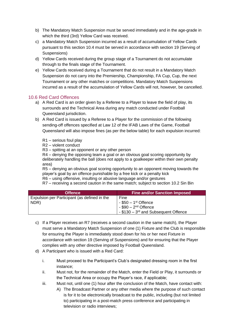- b) The Mandatory Match Suspension must be served immediately and in the age-grade in which the third (3rd) Yellow Card was received.
- c) a Mandatory Match Suspension incurred as a result of accumulation of Yellow Cards pursuant to this section 10.4 must be served in accordance with section 19 (Serving of Suspensions)
- d) Yellow Cards received during the group stage of a Tournament do not accumulate through to the finals stage of the Tournament.
- e) Yellow Cards received during a Tournament that do not result in a Mandatory Match Suspension do not carry into the Premiership, Championship, FA Cup, Cup, the next Tournament or any other matches or competitions. Mandatory Match Suspensions incurred as a result of the accumulation of Yellow Cards will not, however, be cancelled.

#### <span id="page-19-0"></span>10.6 Red Card Offences

- a) A Red Card is an order given by a Referee to a Player to leave the field of play, its surrounds and the Technical Area during any match conducted under Football Queensland jurisdiction.
- b) A Red Card is issued by a Referee to a Player for the commission of the following sending-off offences specified at Law 12 of the IFAB Laws of the Game, Football Queensland will also impose fines (as per the below table) for each expulsion incurred:

R1 – serious foul play

R2 – violent conduct

R3 – spitting at an opponent or any other person

R4 – denying the opposing team a goal or an obvious goal scoring opportunity by deliberately handling the ball (does not apply to a goalkeeper within their own penalty area)

R5 – denying an obvious goal scoring opportunity to an opponent moving towards the player's goal by an offence punishable by a free kick or a penalty kick

R6 – using offensive, insulting or abusive language and/or gestures

R7 – receiving a second caution in the same match; subject to section 10.2 Sin Bin

| <b>Offence</b>                               | <b>Fine and/or Sanction Imposed</b>   |
|----------------------------------------------|---------------------------------------|
| Expulsion per Participant (as defined in the | Fine                                  |
| NDR)                                         | $-$ \$50 $-$ 1st Offence              |
|                                              | $-$ \$90 $-$ 2 <sup>nd</sup> Offence  |
|                                              | - $$130 - 3rd$ and Subsequent Offence |

- c) If a Player receives an R7 (receives a second caution in the same match), the Player must serve a Mandatory Match Suspension of one (1) Fixture and the Club is responsible for ensuring the Player is immediately stood down for his or her next Fixture in accordance with section 19 (Serving of Suspensions) and for ensuring that the Player complies with any other directive imposed by Football Queensland.
- d) A Participant who is issued with a Red Card:
	- i. Must proceed to the Participant's Club's designated dressing room in the first instance;
	- ii. Must not, for the remainder of the Match, enter the Field or Play, it surrounds or the Technical Area or occupy the Player's race, if applicable;
	- iii. Must not, until one (1) hour after the conclusion of the Match, have contact with:
		- A) The Broadcast Partner or any other media where the purpose of such contact is for it to be electronically broadcast to the public, including (but not limited to) participating in a post-match press conference and participating in television or radio interviews;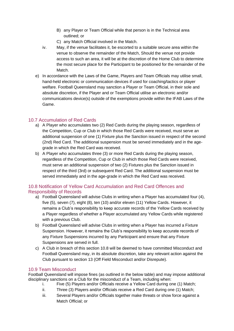- B) any Player or Team Official while that person is in the Technical area outlined; or
- C) any Match Official involved in the Match.
- iv. May, if the venue facilitates it, be escorted to a suitable secure area within the venue to observe the remainder of the Match, Should the venue not provide access to such an area, it will be at the discretion of the Home Club to determine the most secure place for the Participant to be positioned for the remainder of the Match.
- e) In accordance with the Laws of the Game, Players and Team Officials may utilise small, hand-held electronic or communication devices if used for coaching/tactics or player welfare. Football Queensland may sanction a Player or Team Official, in their sole and absolute discretion, if the Player and or Team Official utilise an electronic and/or communications device(s) outside of the exemptions provide within the IFAB Laws of the Game.

## <span id="page-20-0"></span>10.7 Accumulation of Red Cards

- a) A Player who accumulates two (2) Red Cards during the playing season, regardless of the Competition, Cup or Club in which those Red Cards were received, must serve an additional suspension of one (1) Fixture plus the Sanction issued in respect of the second (2nd) Red Card. The additional suspension must be served immediately and in the agegrade in which the Red Card was received.
- b) A Player who accumulates three (3) or more Red Cards during the playing season, regardless of the Competition, Cup or Club in which those Red Cards were received, must serve an additional suspension of two (2) Fixtures plus the Sanction issued in respect of the third (3rd) or subsequent Red Card. The additional suspension must be served immediately and in the age-grade in which the Red Card was received.

## <span id="page-20-1"></span>10.8 Notification of Yellow Card Accumulation and Red Card Offences and Responsibility of Records

- a) Football Queensland will advise Clubs in writing when a Player has accumulated four (4), five (5), seven (7), eight (8), ten (10) and/or eleven (11) Yellow Cards. However, it remains a Club's responsibility to keep accurate records of the Yellow Cards received by a Player regardless of whether a Player accumulated any Yellow Cards while registered with a previous Club.
- b) Football Queensland will advise Clubs in writing when a Player has incurred a Fixture Suspension. However, it remains the Club's responsibility to keep accurate records of any Fixture Suspensions incurred by any Participant and ensure that any Fixture Suspensions are served in full.
- c) A Club in breach of this section 10.8 will be deemed to have committed Misconduct and Football Queensland may, in its absolute discretion, take any relevant action against the Club pursuant to section 13 (Off Field Misconduct and/or Disrepute).

## <span id="page-20-2"></span>10.9 Team Misconduct

Football Queensland will impose fines (as outlined in the below table) and may impose additional disciplinary sanctions on a Club for the misconduct of a Team, including when:

- i. Five (5) Players and/or Officials receive a Yellow Card during one (1) Match;
- ii. Three (3) Players and/or Officials receive a Red Card during one (1) Match;
- iii. Several Players and/or Officials together make threats or show force against a Match Official; or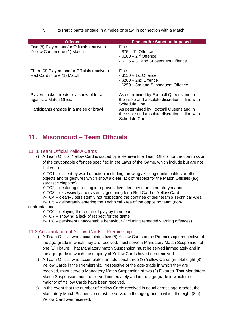iv. Its Participants engage in a melee or brawl in connection with a Match.

| <b>Offence</b>                                                              | <b>Fine and/or Sanction Imposed</b>                                                                            |
|-----------------------------------------------------------------------------|----------------------------------------------------------------------------------------------------------------|
| Five (5) Players and/or Officials receive a<br>Yellow Card in one (1) Match | Fine<br>$-$ \$75 $-$ 1 <sup>st</sup> Offence<br>- $$100 - 2nd$ Offence<br>- \$125 - 3rd and Subsequent Offence |
| Three (3) Players and/or Officials receive a<br>Red Card in one (1) Match   | Fine<br>$-$ \$150 $-$ 1st Offence<br>$-$ \$200 $-$ 2nd Offence<br>- \$250 - 3rd and Subsequent Offence         |
| Players make threats or a show of force<br>against a Match Official         | As determined by Football Queensland in<br>their sole and absolute discretion in line with<br>Schedule One     |
| Participants engage in a melee or brawl                                     | As determined by Football Queensland in<br>their sole and absolute discretion in line with<br>Schedule One     |

## <span id="page-21-0"></span>**11. Misconduct – Team Officials**

#### <span id="page-21-1"></span>11. 1 Team Official Yellow Cards

a) A Team Official Yellow Card is issued by a Referee to a Team Official for the commission of the cautionable offences specified in the Laws of the Game, which include but are not limited to:

Y-TO1 – dissent by word or action, including throwing / kicking drinks bottles or other objects and/or gestures which show a clear lack of respect for the Match Officials (e.g. sarcastic clapping)

Y-TO2 – gesturing or acting in a provocative, derisory or inflammatory manner

Y-TO3 – excessively / persistently gesturing for a Red Card or Yellow Card

Y-TO4 – clearly / persistently not respecting the confines of their team's Technical Area

Y-TO5 – deliberately entering the Technical Area of the opposing team (nonconfrontational)

Y-TO6 – delaying the restart of play by their team

Y-TO7 – showing a lack of respect for the game

Y-TO8 – persistent unacceptable behaviour (including repeated warning offences)

## <span id="page-21-2"></span>11.2 Accumulation of Yellow Cards – Premiership

- a) A Team Official who accumulates five (5) Yellow Cards in the Premiership irrespective of the age-grade in which they are received, must serve a Mandatory Match Suspension of one (1) Fixture. That Mandatory Match Suspension must be served immediately and in the age-grade in which the majority of Yellow Cards have been received.
- b) A Team Official who accumulates an additional three (3) Yellow Cards (in total eight (8) Yellow Cards in the Premiership, irrespective of the age-grade in which they are received, must serve a Mandatory Match Suspension of two (2) Fixtures. That Mandatory Match Suspension must be served immediately and in the age-grade in which the majority of Yellow Cards have been received.
- c) In the event that the number of Yellow Cards received is equal across age-grades, the Mandatory Match Suspension must be served in the age-grade in which the eight (8th) Yellow Card was received.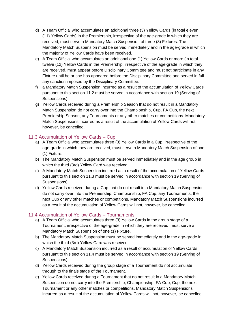- d) A Team Official who accumulates an additional three (3) Yellow Cards (in total eleven (11) Yellow Cards) in the Premiership, irrespective of the age-grade in which they are received, must serve a Mandatory Match Suspension of three (3) Fixtures. The Mandatory Match Suspension must be served immediately and in the age-grade in which the majority of Yellow Cards have been received.
- e) A Team Official who accumulates an additional one (1) Yellow Cards or more (in total twelve (12) Yellow Cards in the Premiership, irrespective of the age-grade in which they are received, must appear before Disciplinary Committee and must not participate in any Fixture until he or she has appeared before the Disciplinary Committee and served in full any sanction imposed by the Disciplinary Committee.
- f) a Mandatory Match Suspension incurred as a result of the accumulation of Yellow Cards pursuant to this section 11.2 must be served in accordance with section 19 (Serving of Suspensions)
- g) Yellow Cards received during a Premiership Season that do not result in a Mandatory Match Suspension do not carry over into the Championship, Cup, FA Cup, the next Premiership Season, any Tournaments or any other matches or competitions. Mandatory Match Suspensions incurred as a result of the accumulation of Yellow Cards will not, however, be cancelled.

#### <span id="page-22-0"></span>11.3 Accumulation of Yellow Cards – Cup

- a) A Team Official who accumulates three (3) Yellow Cards in a Cup, irrespective of the age-grade in which they are received, must serve a Mandatory Match Suspension of one (1) Fixture.
- b) The Mandatory Match Suspension must be served immediately and in the age group in which the third (3rd) Yellow Card was received.
- c) A Mandatory Match Suspension incurred as a result of the accumulation of Yellow Cards pursuant to this section 11.3 must be served in accordance with section 19 (Serving of Suspensions)
- d) Yellow Cards received during a Cup that do not result in a Mandatory Match Suspension do not carry over into the Premiership, Championship, FA Cup, any Tournaments, the next Cup or any other matches or competitions. Mandatory Match Suspensions incurred as a result of the accumulation of Yellow Cards will not, however, be cancelled.

#### <span id="page-22-1"></span>11.4 Accumulation of Yellow Cards – Tournaments

- a) A Team Official who accumulates three (3) Yellow Cards in the group stage of a Tournament, irrespective of the age-grade in which they are received, must serve a Mandatory Match Suspension of one (1) Fixture.
- b) The Mandatory Match Suspension must be served immediately and in the age-grade in which the third (3rd) Yellow Card was received.
- c) A Mandatory Match Suspension incurred as a result of accumulation of Yellow Cards pursuant to this section 11.4 must be served in accordance with section 19 (Serving of Suspensions)
- d) Yellow Cards received during the group stage of a Tournament do not accumulate through to the finals stage of the Tournament.
- e) Yellow Cards received during a Tournament that do not result in a Mandatory Match Suspension do not carry into the Premiership, Championship, FA Cup, Cup, the next Tournament or any other matches or competitions. Mandatory Match Suspensions incurred as a result of the accumulation of Yellow Cards will not, however, be cancelled.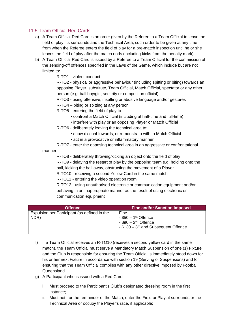## 11.5 Team Official Red Cards

- a) A Team Official Red Card is an order given by the Referee to a Team Official to leave the field of play, its surrounds and the Technical Area, such order to be given at any time from when the Referee enters the field of play for a pre-match inspection until he or she leaves the field of play after the match ends (including kicks from the penalty mark).
- b) A Team Official Red Card is issued by a Referee to a Team Official for the commission of the sending-off offences specified in the Laws of the Game, which include but are not limited to:

R-TO1 - violent conduct

R-TO2 - physical or aggressive behaviour (including spitting or biting) towards an opposing Player, substitute, Team Official, Match Official, spectator or any other person (e.g. ball boy/girl, security or competition official)

R-TO3 - using offensive, insulting or abusive language and/or gestures

R-TO4 – biting or spitting at any person

R-TO5 - entering the field of play to:

- confront a Match Official (including at half-time and full-time)
- interfere with play or an opposing Player or Match Official
- R-TO6 deliberately leaving the technical area to:
	- show dissent towards, or remonstrate with, a Match Official
	- act in a provocative or inflammatory manner

R-TO7 - enter the opposing technical area in an aggressive or confrontational manner

R-TO8 - deliberately throwing/kicking an object onto the field of play

R-TO9 - delaying the restart of play by the opposing team e.g. holding onto the ball, kicking the ball away, obstructing the movement of a Player

R-TO10 - receiving a second Yellow Card in the same match

R-TO11 - entering the video operation room

R-TO12 - using unauthorised electronic or communication equipment and/or behaving in an inappropriate manner as the result of using electronic or communication equipment

| <b>Offence</b>                                       | <b>Fine and/or Sanction Imposed</b>                                                                                                        |
|------------------------------------------------------|--------------------------------------------------------------------------------------------------------------------------------------------|
| Expulsion per Participant (as defined in the<br>NDR) | Fine<br>$-$ \$50 $-$ 1st Offence<br>$-$ \$90 $-$ 2 <sup>nd</sup> Offence<br>$\frac{1}{2}$ - \$130 - 3 <sup>rd</sup> and Subsequent Offence |

- f) If a Team Official receives an R-TO10 (receives a second yellow card in the same match), the Team Official must serve a Mandatory Match Suspension of one (1) Fixture and the Club is responsible for ensuring the Team Official is immediately stood down for his or her next Fixture in accordance with section 19 (Serving of Suspensions) and for ensuring that the Team Official complies with any other directive imposed by Football Queensland.
- g) A Participant who is issued with a Red Card:
	- i. Must proceed to the Participant's Club's designated dressing room in the first instance;
	- ii. Must not, for the remainder of the Match, enter the Field or Play, it surrounds or the Technical Area or occupy the Player's race, if applicable;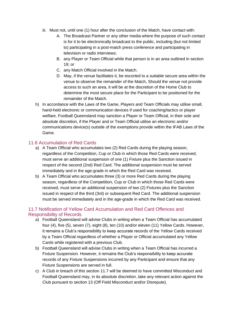- iii. Must not, until one (1) hour after the conclusion of the Match, have contact with:
	- A. The Broadcast Partner or any other media where the purpose of such contact is for it to be electronically broadcast to the public, including (but not limited to) participating in a post-match press conference and participating in television or radio interviews;
	- B. any Player or Team Official while that person is in an area outlined in section 19; or
	- C. any Match Official involved in the Match.
	- D. May, if the venue facilitates it, be escorted to a suitable secure area within the venue to observe the remainder of the Match, Should the venue not provide access to such an area, it will be at the discretion of the Home Club to determine the most secure place for the Participant to be positioned for the remainder of the Match.
- h) In accordance with the Laws of the Game, Players and Team Officials may utilise small, hand-held electronic or communication devices if used for coaching/tactics or player welfare. Football Queensland may sanction a Player or Team Official, in their sole and absolute discretion, if the Player and or Team Official utilise an electronic and/or communications device(s) outside of the exemptions provide within the IFAB Laws of the Game.

#### <span id="page-24-0"></span>11.6 Accumulation of Red Cards

- a) A Team Official who accumulates two (2) Red Cards during the playing season, regardless of the Competition, Cup or Club in which those Red Cards were received, must serve an additional suspension of one (1) Fixture plus the Sanction issued in respect of the second (2nd) Red Card. The additional suspension must be served immediately and in the age-grade in which the Red Card was received.
- b) A Team Official who accumulates three (3) or more Red Cards during the playing season, regardless of the Competition, Cup or Club in which those Red Cards were received, must serve an additional suspension of two (2) Fixtures plus the Sanction issued in respect of the third (3rd) or subsequent Red Card. The additional suspension must be served immediately and in the age-grade in which the Red Card was received.

## <span id="page-24-1"></span>11.7 Notification of Yellow Card Accumulation and Red Card Offences and Responsibility of Records

- a) Football Queensland will advise Clubs in writing when a Team Official has accumulated four (4), five (5), seven (7), eight (8), ten (10) and/or eleven (11) Yellow Cards. However, it remains a Club's responsibility to keep accurate records of the Yellow Cards received by a Team Official regardless of whether a Player or Official accumulated any Yellow Cards while registered with a previous Club.
- b) Football Queensland will advise Clubs in writing when a Team Official has incurred a Fixture Suspension. However, it remains the Club's responsibility to keep accurate records of any Fixture Suspensions incurred by any Participant and ensure that any Fixture Suspensions are served in full.
- c) A Club in breach of this section 11.7 will be deemed to have committed Misconduct and Football Queensland may, in its absolute discretion, take any relevant action against the Club pursuant to section 13 (Off Field Misconduct and/or Disrepute).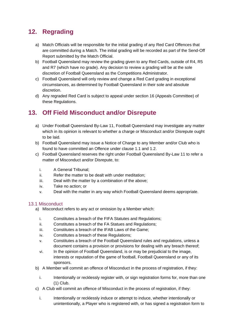# <span id="page-25-0"></span>**12. Regrading**

- a) Match Officials will be responsible for the initial grading of any Red Card Offences that are committed during a Match. The initial grading will be recorded as part of the Send-Off Report submitted by the Match Official.
- b) Football Queensland may review the grading given to any Red Cards, outside of R4, R5 and R7 (which have no grade). Any decision to review a grading will be at the sole discretion of Football Queensland as the Competitions Administrator.
- c) Football Queensland will only review and change a Red Card grading in exceptional circumstances, as determined by Football Queensland in their sole and absolute discretion.
- d) Any regraded Red Card is subject to appeal under section 16 (Appeals Committee) of these Regulations.

# <span id="page-25-1"></span>**13. Off Field Misconduct and/or Disrepute**

- a) Under Football Queensland By-Law 11, Football Queensland may investigate any matter which in its opinion is relevant to whether a charge or Misconduct and/or Disrepute ought to be laid.
- b) Football Queensland may issue a Notice of Charge to any Member and/or Club who is found to have committed an Offence under clause 1.1 and 1.2.
- c) Football Queensland reserves the right under Football Queensland By-Law 11 to refer a matter of Misconduct and/or Disrepute, to:
	- i. A General Tribunal;
	- ii. Refer the matter to be dealt with under meditation:
	- iii. Deal with the matter by a combination of the above;
	- iv. Take no action; or
	- v. Deal with the matter in any way which Football Queensland deems appropriate.

## <span id="page-25-2"></span>13.1 Misconduct

- a) Misconduct refers to any act or omission by a Member which:
	- i. Constitutes a breach of the FIFA Statutes and Regulations;
	- ii. Constitutes a breach of the FA Statues and Regulations;
	- iii. Constitutes a breach of the IFAB Laws of the Game;
	- iv. Constitutes a breach of these Regulations;
	- v. Constitutes a breach of the Football Queensland rules and regulations, unless a document contains a provision or provisions for dealing with any breach thereof;
	- vi. In the opinion of Football Queensland, is or may be prejudicial to the image, interests or reputation of the game of football, Football Queensland or any of its sponsors.
- b) A Member will commit an offence of Misconduct in the process of registration, if they:
	- i. Intentionally or recklessly register with, or sign registration forms for, more than one (1) Club.
- c) A Club will commit an offence of Misconduct in the process of registration, if they:
	- i. Intentionally or recklessly induce or attempt to induce, whether intentionally or unintentionally, a Player who is registered with, or has signed a registration form to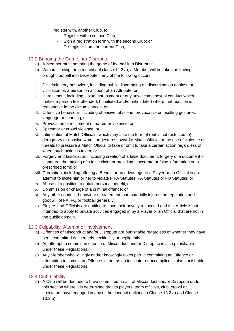register with, another Club, to:

- Register with a second Club;
- Sign a registration form with the second Club; or
- De-register from the current Club;

## <span id="page-26-0"></span>13.2 Bringing the Game into Disrepute

- a) A Member must not bring the game of football into Disrepute.
- b) Without limiting the generality of clause 12.2 a), a Member will be taken as having brought football into Disrepute if any of the following occurs:
- i. Discriminatory behaviour, including public disparaging of, discrimination against, or vilification of, a person on account of an Attribute; or
- ii. Harassment, including sexual harassment or any unwelcome sexual conduct which makes a person feel offended, humiliated and/or intimidated where that reaction is reasonable in the circumstances; or
- iii. Offensive behaviour, including offensive, obscene, provocative or insulting gestures, language or chanting; or
- iv. Provocation or incitement of hatred or violence; or
- v. Spectator or crowd violence; or
- vi. Intimidation of Match Officials, which may take the form of (but is not restricted to) derogatory or abusive words or gestures toward a Match Official or the use of violence or threats to pressure a Match Official to take or omit to take a certain action regardless of where such action is taken; or
- vii. Forgery and falsification, including creation of a false document, forgery of a document or signature, the making of a false claim or providing inaccurate or false information on a prescribed form; or
- viii. Corruption, including offering a Benefit or an advantage to a Player or an Official in an attempt to incite him or her to violate FIFA Statutes, FA Statutes or FQ Statutes; or
- ix. Abuse of a position to obtain personal benefit; or
- x. Commission or charge of a criminal offence; or
- xi. Any other conduct, behaviour or statement that materially injures the reputation and goodwill of FA, FQ or football generally.
- c) Players and Officials are entitled to have their privacy respected and this Article is not intended to apply to private activities engaged in by a Player or an Official that are not in the public domain.

## <span id="page-26-1"></span>13.3 Culpability, Attempt or Involvement

- a) Offences of Misconduct and/or Disrepute are punishable regardless of whether they have been committed deliberately, recklessly or negligently.
- b) An attempt to commit an offence of Misconduct and/or Disrepute is also punishable under these Regulations.
- c) Any Member who willingly and/or knowingly takes part in committing an Offence or attempting to commit an Offence, either as an instigator or accomplice is also punishable under these Regulations.

## <span id="page-26-2"></span>13.4 Club Liability

a) A Club will be deemed to have committed an act of Misconduct and/or Disrepute under this section where it is determined that its players, team officials, club, crowd or spectators have engaged in any of the conduct outlined in Clause 13.2 a) and Clause 13.2 b)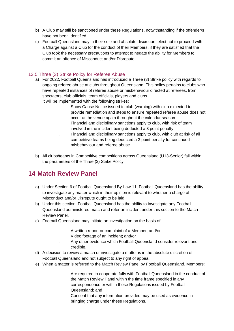- b) A Club may still be sanctioned under these Regulations, notwithstanding if the offender/s have not been identified.
- c) Football Queensland may in their sole and absolute discretion, elect not to proceed with a Charge against a Club for the conduct of their Members, if they are satisfied that the Club took the necessary precautions to attempt to negate the ability for Members to commit an offence of Misconduct and/or Disrepute.

## <span id="page-27-0"></span>13.5 Three (3) Strike Policy for Referee Abuse

- a) For 2022, Football Queensland has introduced a Three (3) Strike policy with regards to ongoing referee abuse at clubs throughout Queensland. This policy pertains to clubs who have repeated instances of referee abuse or misbehaviour directed at referees, from spectators, club officials, team officials, players and clubs. It will be implemented with the following strikes;
	- i. Show Cause Notice issued to club (warning) with club expected to provide remediation and steps to ensure repeated referee abuse does not occur at the venue again throughout the calendar season
	- ii. Financial and disciplinary sanctions apply to club, with risk of team involved in the incident being deducted a 3 point penalty
	- iii. Financial and disciplinary sanctions apply to club, with club at risk of all competitive teams being deducted a 3 point penalty for continued misbehaviour and referee abuse.
- b) All clubs/teams in Competitive competitions across Queensland (U13-Senior) fall within the parameters of the Three (3) Strike Policy.

# <span id="page-27-1"></span>**14 Match Review Panel**

- a) Under Section 6 of Football Queensland By-Law 11, Football Queensland has the ability to investigate any matter which in their opinion is relevant to whether a charge of Misconduct and/or Disrepute ought to be laid.
- b) Under this section, Football Queensland has the ability to investigate any Football Queensland administered match and refer an incident under this section to the Match Review Panel.
- c) Football Queensland may initiate an investigation on the basis of:
	- i. A written report or complaint of a Member; and/or
	- ii. Video footage of an incident; and/or
	- iii. Any other evidence which Football Queensland consider relevant and credible.
- d) A decision to review a match or investigate a matter is in the absolute discretion of Football Queensland and not subject to any right of appeal.
- e) When a matter is referred to the Match Review Panel by Football Queensland, Members:
	- i. Are required to cooperate fully with Football Queensland in the conduct of the Match Review Panel within the time frame specified in any correspondence or within these Regulations issued by Football Queensland; and
	- ii. Consent that any information provided may be used as evidence in bringing charge under these Regulations.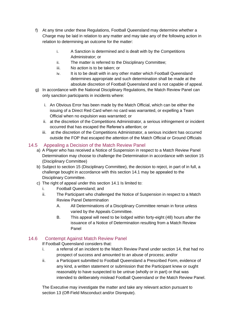- f) At any time under these Regulations, Football Queensland may determine whether a Charge may be laid in relation to any matter and may take any of the following action in relation to determining an outcome for the matter:
	- i. A Sanction is determined and is dealt with by the Competitions Administrator; or
	- ii. The matter is referred to the Disciplinary Committee;
	- iii. No action is to be taken; or
	- iv. It is to be dealt with in any other matter which Football Queensland determines appropriate and such determination shall be made at the absolute discretion of Football Queensland and is not capable of appeal.
- g) In accordance with the National Disciplinary Regulations, the Match Review Panel can only sanction participants in incidents where:
	- i. An Obvious Error has been made by the Match Official, which can be either the issuing of a Direct Red Card when no card was warranted, or expelling a Team Official when no expulsion was warranted; or
	- ii. at the discretion of the Competitions Administrator, a serious infringement or incident occurred that has escaped the Referee's attention; or
	- iii. at the discretion of the Competitions Administrator, a serious incident has occurred outside the FOP that escaped the attention of the Match Official or Ground Officials

## 14.5 Appealing a Decision of the Match Review Panel

- <span id="page-28-0"></span>a) A Player who has received a Notice of Suspension in respect to a Match Review Panel Determination may choose to challenge the Determination in accordance with section 15 (Disciplinary Committee)
- b) Subject to section 15 (Disciplinary Committee), the decision to reject, in part of in full, a challenge bought in accordance with this section 14.1 may be appealed to the Disciplinary Committee.
- c) The right of appeal under this section 14.1 Is limited to:
	- i. Football Queensland; and
	- ii. The Participant who challenged the Notice of Suspension in respect to a Match Review Panel Determination
		- A. All Determinations of a Disciplinary Committee remain in force unless varied by the Appeals Committee.
		- B. This appeal will need to be lodged within forty-eight (48) hours after the issuance of a Notice of Determination resulting from a Match Review Panel

## 14.6 Contempt Against Match Review Panel

<span id="page-28-1"></span>If Football Queensland considers that:

- i. a referral of an incident to the Match Review Panel under section 14, that had no prospect of success and amounted to an abuse of process; and/or
- ii. a Participant submitted to Football Queensland a Prescribed Form, evidence of any kind, a written statement or submission that the Participant knew or ought reasonably to have suspected to be untrue (wholly or in part) or that was intended to deliberately mislead Football Queensland or the Match Review Panel.

The Executive may investigate the matter and take any relevant action pursuant to section 13 (Off-Field Misconduct and/or Disrepute).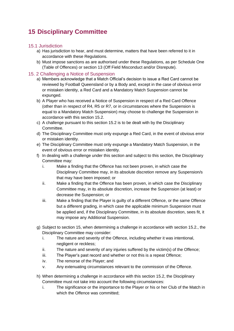# <span id="page-29-0"></span>**15 Disciplinary Committee**

#### <span id="page-29-1"></span>15.1 Jurisdiction

- a) Has jurisdiction to hear, and must determine, matters that have been referred to it in accordance with these Regulations.
- b) Must impose sanctions as are authorised under these Regulations, as per Schedule One (Table of Offences) or section 13 (Off Field Misconduct and/or Disrepute).

#### <span id="page-29-2"></span>15. 2 Challenging a Notice of Suspension

- a) Members acknowledge that a Match Official's decision to issue a Red Card cannot be reviewed by Football Queensland or by a Body and, except in the case of obvious error or mistaken identity, a Red Card and a Mandatory Match Suspension cannot be expunged.
- b) A Player who has received a Notice of Suspension in respect of a Red Card Offence (other than in respect of R4, R5 or R7, or in circumstances where the Suspension is equal to a Mandatory Match Suspension) may choose to challenge the Suspension in accordance with this section 15.2.
- c) A challenge pursuant to this section 15.2 is to be dealt with by the Disciplinary Committee.
- d) The Disciplinary Committee must only expunge a Red Card, in the event of obvious error or mistaken identity.
- e) The Disciplinary Committee must only expunge a Mandatory Match Suspension, in the event of obvious error or mistaken identity.
- f) In dealing with a challenge under this section and subject to this section, the Disciplinary Committee may:
	- i. Make a finding that the Offence has not been proven, in which case the Disciplinary Committee may, in its absolute discretion remove any Suspension/s that may have been imposed; or
	- ii. Make a finding that the Offence has been proven, in which case the Disciplinary Committee may, in its absolute discretion, increase the Suspension (at least) or decrease the Suspension; or
	- iii. Make a finding that the Player is guilty of a different Offence, or the same Offence but a different grading, in which case the applicable minimum Suspension must be applied and, if the Disciplinary Committee, in its absolute discretion, sees fit, it may impose any Additional Suspension.
- g) Subject to section 15, when determining a challenge in accordance with section 15.2., the Disciplinary Committee may consider:
	- i. The nature and severity of the Offence, including whether it was intentional, negligent or reckless;
	- ii. The nature and severity of any injuries suffered by the victim(s) of the Offence;
	- iii. The Player's past record and whether or not this is a repeat Offence;
	- iv. The remorse of the Player; and
	- v. Any extenuating circumstances relevant to the commission of the Offence.
- h) When determining a challenge in accordance with this section 15.2, the Disciplinary Committee must not take into account the following circumstances:
	- i. The significance or the importance to the Player or his or her Club of the Match in which the Offence was committed;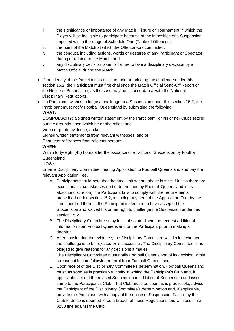- ii. the significance or importance of any Match, Fixture or Tournament in which the Player will be ineligible to participate because of the imposition of a Suspension imposed within the range of Schedule One (Table of Offences);
- iii. the point of the Match at which the Offence was committed;
- iv. the conduct, including actions, words or gestures of any Participant or Spectator during or related to the Match; and
- v. any disciplinary decision taken or failure to take a disciplinary decision by a Match Official during the Match
- i) If the identity of the Participant is at issue, prior to bringing the challenge under this section 15.2, the Participant must first challenge the Match Official Send-Off Report or the Notice of Suspension, as the case may be, in accordance with the National Disciplinary Regulations.
- j) If a Participant wishes to lodge a challenge to a Suspension under this section 15.2, the Participant must notify Football Queensland by submitting the following: **WHAT:**

**COMPULSORY**: a signed written statement by the Participant (or his or her Club) setting out the grounds upon which he or she relies; and

Video or photo evidence; and/or

Signed written statements from relevant witnesses; and/or

Character references from relevant persons

#### **WHEN:**

Within forty-eight (48) hours after the issuance of a Notice of Suspension by Football Queensland

#### **HOW:**

Email a Disciplinary Committee Hearing Application to Football Queensland and pay the relevant Application Fee.

- A. Participants should note that the time limit set out above is strict. Unless there are exceptional circumstances (to be determined by Football Queensland in its absolute discretion), if a Participant fails to comply with the requirements prescribed under section 15.2, including payment of the Application Fee, by the time specified therein, the Participant is deemed to have accepted the Suspension and waived his or her right to challenge the Suspension under this section 15.2.
- B. The Disciplinary Committee may in its absolute discretion request additional information from Football Queensland or the Participant prior to making a decision.
- C. After considering the evidence, the Disciplinary Committee will decide whether the challenge is to be rejected or is successful. The Disciplinary Committee is not obliged to give reasons for any decisions it makes.
- D. The Disciplinary Committee must notify Football Queensland of its decision within a reasonable time following referral from Football Queensland.
- E. Upon receipt of the Disciplinary Committee's determination, Football Queensland must, as soon as is practicable, notify in writing the Participant's Club and, if applicable, set out the revised Suspension in a Notice of Suspension and issue same to the Participant's Club. That Club must, as soon as is practicable, advise the Participant of the Disciplinary Committee's determination and, if applicable, provide the Participant with a copy of the notice of Suspension. Failure by the Club to do so is deemed to be a breach of these Regulations and will result in a \$250 fine against the Club.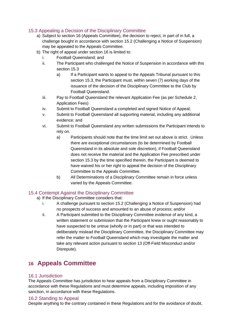## <span id="page-31-0"></span>15.3 Appealing a Decision of the Disciplinary Committee

- a) Subject to section 16 (Appeals Committee), the decision to reject, in part of in full, a challenge bought in accordance with section 15.2 (Challenging a Notice of Suspension) may be appealed to the Appeals Committee.
- b) The right of appeal under section 16 is limited to:
	- i. Football Queensland; and
	- ii. The Participant who challenged the Notice of Suspension in accordance with this section 15.3
		- a) If a Participant wants to appeal to the Appeals Tribunal pursuant to this section 15.3, the Participant must, within seven (7) working days of the issuance of the decision of the Disciplinary Committee to the Club by Football Queensland.
	- iii. Pay to Football Queensland the relevant Application Fee (as per Schedule 2, Application Fees)
	- iv. Submit to Football Queensland a completed and signed Notice of Appeal;
	- v. Submit to Football Queensland all supporting material, including any additional evidence; and
	- vi. Submit to Football Queensland any written submissions the Participant intends to rely on.
		- a) Participants should note that the time limit set out above is strict. Unless there are exceptional circumstances (to be determined by Football Queensland in its absolute and sole discretion), if Football Queensland does not receive the material and the Application Fee prescribed under section 15.3 by the time specified therein, the Participant is deemed to have waived his or her right to appeal the decision of the Disciplinary Committee to the Appeals Committee.
		- b) All Determinations of a Disciplinary Committee remain in force unless varied by the Appeals Committee.

## <span id="page-31-1"></span>15.4 Contempt Against the Disciplinary Committee

- a) If the Disciplinary Committee considers that:
	- i. A challenge pursuant to section 15.2 (Challenging a Notice of Suspension) had no prospects of success and amounted to an abuse of process; and/or
	- ii. A Participant submitted to the Disciplinary Committee evidence of any kind, a written statement or submission that the Participant knew or ought reasonably to have suspected to be untrue (wholly or in part) or that was intended to deliberately mislead the Disciplinary Committee, the Disciplinary Committee may refer the matter to Football Queensland which may investigate the matter and take any relevant action pursuant to section 13 (Off-Field Misconduct and/or Disrepute).

# <span id="page-31-2"></span>**16 Appeals Committee**

#### <span id="page-31-3"></span>16.1 Jurisdiction

The Appeals Committee has jurisdiction to hear appeals from a Disciplinary Committee in accordance with these Regulations and must determine appeals, including imposition of any sanction, in accordance with these Regulations.

#### <span id="page-31-4"></span>16.2 Standing to Appeal

Despite anything to the contrary contained in these Regulations and for the avoidance of doubt,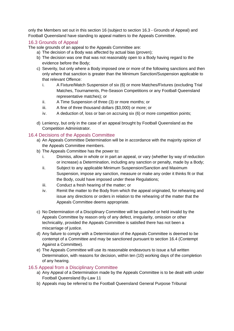only the Members set out in this section 16 (subject to section 16.3 - Grounds of Appeal) and Football Queensland have standing to appeal matters to the Appeals Committee.

#### <span id="page-32-0"></span>16.3 Grounds of Appeal

The sole grounds of an appeal to the Appeals Committee are:

- a) The decision of a Body was affected by actual bias (proven);
- b) The decision was one that was not reasonably open to a Body having regard to the evidence before the Body;
- c) Severity, but only where a Body imposed one or more of the following sanctions and then only where that sanction is greater than the Minimum Sanction/Suspension applicable to that relevant Offence:
	- i. A Fixture/Match Suspension of six (6) or more Matches/Fixtures (excluding Trial Matches, Tournaments, Pre-Season Competitions or any Football Queensland representative matches); or
	- ii. A Time Suspension of three (3) or more months; or
	- iii. A fine of three thousand dollars (\$3,000) or more; or
	- iv. A deduction of, loss or ban on accruing six (6) or more competition points;
- d) Leniency, but only in the case of an appeal brought by Football Queensland as the Competition Administrator.

#### <span id="page-32-1"></span>16.4 Decisions of the Appeals Committee

- a) An Appeals Committee Determination will be in accordance with the majority opinion of the Appeals Committee members.
- b) The Appeals Committee has the power to:
	- i. Dismiss, allow in whole or in part an appeal, or vary (whether by way of reduction or increase) a Determination, including any sanction or penalty, made by a Body;
	- ii. Subject to any applicable Minimum Suspension/Sanction and Maximum Suspension, impose any sanction, measure or make any order it thinks fit or that the Body, could have imposed under these Regulations;
	- iii. Conduct a fresh hearing of the matter; or
	- iv. Remit the matter to the Body from which the appeal originated, for rehearing and issue any directions or orders in relation to the rehearing of the matter that the Appeals Committee deems appropriate.
- c) No Determination of a Disciplinary Committee will be quashed or held invalid by the Appeals Committee by reason only of any defect, irregularity, omission or other technicality, provided the Appeals Committee is satisfied there has not been a miscarriage of justice.
- d) Any failure to comply with a Determination of the Appeals Committee is deemed to be contempt of a Committee and may be sanctioned pursuant to section 16.4 (Contempt Against a Committee).
- e) The Appeals Committee will use its reasonable endeavours to issue a full written Determination, with reasons for decision, within ten (10) working days of the completion of any hearing.

#### <span id="page-32-2"></span>16.5 Appeal from a Disciplinary Committee

- a) Any Appeal of a Determination made by the Appeals Committee is to be dealt with under Football Queensland By-Law 11
- b) Appeals may be referred to the Football Queensland General Purpose Tribunal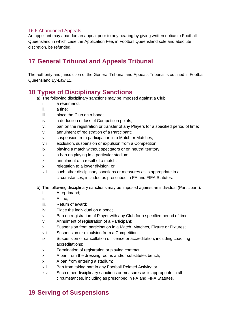#### <span id="page-33-0"></span>16.6 Abandoned Appeals

An appellant may abandon an appeal prior to any hearing by giving written notice to Football Queensland in which case the Application Fee, in Football Queensland sole and absolute discretion, be refunded.

# <span id="page-33-1"></span>**17 General Tribunal and Appeals Tribunal**

The authority and jurisdiction of the General Tribunal and Appeals Tribunal is outlined in Football Queensland By-Law 11.

## <span id="page-33-2"></span>**18 Types of Disciplinary Sanctions**

- a) The following disciplinary sanctions may be imposed against a Club;
	- i. a reprimand;
	- ii. a fine;
	- iii. place the Club on a bond;
	- iv. a deduction or loss of Competition points;
	- v. ban on the registration or transfer of any Players for a specified period of time;
	- vi. annulment of registration of a Participant;
	- vii. suspension from participation in a Match or Matches;
	- viii. exclusion, suspension or expulsion from a Competition;
	- ix. playing a match without spectators or on neutral territory;
	- x. a ban on playing in a particular stadium;
	- xi. annulment of a result of a match;
	- xii. relegation to a lower division; or
	- xiii. such other disciplinary sanctions or measures as is appropriate in all circumstances, included as prescribed in FA and FIFA Statutes.
- b) The following disciplinary sanctions may be imposed against an individual (Participant):
	- i. A reprimand;
	- ii. A fine;
	- iii. Return of award;
	- iv. Place the individual on a bond;
	- v. Ban on registration of Player with any Club for a specified period of time;
	- vi. Annulment of registration of a Participant;
	- vii. Suspension from participation in a Match, Matches, Fixture or Fixtures;
	- viii. Suspension or expulsion from a Competition;
	- ix. Suspension or cancellation of licence or accreditation, including coaching accreditations;
	- x. Termination of registration or playing contract;
	- xi. A ban from the dressing rooms and/or substitutes bench;
	- xii. A ban from entering a stadium;
	- xiii. Ban from taking part in any Football Related Activity; or
	- xiv. Such other disciplinary sanctions or measures as is appropriate in all circumstances, including as prescribed in FA and FIFA Statutes.

# <span id="page-33-3"></span>**19 Serving of Suspensions**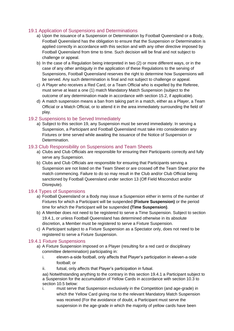## <span id="page-34-0"></span>19.1 Application of Suspensions and Determinations

- a) Upon the issuance of a Suspension or Determination by Football Queensland or a Body, Football Queensland has the obligation to ensure that the Suspension or Determination is applied correctly in accordance with this section and with any other directive imposed by Football Queensland from time to time. Such decision will be final and not subject to challenge or appeal.
- b) In the case of a Regulation being interpreted in two (2) or more different ways, or in the case of any other ambiguity in the application of these Regulations to the serving of Suspensions, Football Queensland reserves the right to determine how Suspensions will be served. Any such determination is final and not subject to challenge or appeal.
- c) A Player who receives a Red Card, or a Team Official who is expelled by the Referee, must serve at least a one (1) match Mandatory Match Suspension (subject to the outcome of any determination made in accordance with section 15.2, if applicable).
- d) A match suspension means a ban from taking part in a match, either as a Player, a Team Official or a Match Official, or to attend it in the area immediately surrounding the field of play.

## <span id="page-34-1"></span>19.2 Suspensions to be Served Immediately

a) Subject to this section 19, any Suspension must be served immediately. In serving a Suspension, a Participant and Football Queensland must take into consideration any Fixtures or time served while awaiting the issuance of the Notice of Suspension or Determination.

## <span id="page-34-2"></span>19.3 Club Responsibility on Suspensions and Team Sheets

- a) Clubs and Club Officials are responsible for ensuring their Participants correctly and fully serve any Suspension.
- b) Clubs and Club Officials are responsible for ensuring that Participants serving a Suspension are not listed on the Team Sheet or are crossed off the Team Sheet prior the match commencing. Failure to do so may result in the Club and/or Club Official being sanctioned by Football Queensland under section 13 (Off Field Misconduct and/or Disrepute).

## <span id="page-34-3"></span>19.4 Types of Suspensions

- a) Football Queensland or a Body may issue a Suspension either in terms of the number of Fixtures for which a Participant will be suspended **(Fixture Suspension)** or the period time for which the Participant will be suspended **(Time Suspension)**.
- b) A Member does not need to be registered to serve a Time Suspension. Subject to section 19.4.1, or unless Football Queensland has determined otherwise in its absolute discretion, a Member must be registered to serve a Fixture Suspension.
- c) A Participant subject to a Fixture Suspension as a Spectator only, does not need to be registered to serve a Fixture Suspension.

#### <span id="page-34-4"></span>19.4.1 Fixture Suspensions

- a) A Fixture Suspension imposed on a Player (resulting for a red card or disciplinary committee determination) participating in:
	- i. eleven-a-side football, only affects that Player's participation in eleven-a-side football; or
	- ii. futsal, only affects that Player's participation in futsal.

aa) Notwithstanding anything to the contrary in this section 19.4.1 a Participant subject to a Suspension for the accumulation of Yellow Cards in accordance with section 10.3 to section 10.5 below:

i. must serve that Suspension exclusively in the Competition (and age-grade) in which the Yellow Card giving rise to the relevant Mandatory Match Suspension was received (For the avoidance of doubt, a Participant must serve the suspension in the age-grade in which the majority of yellow cards have been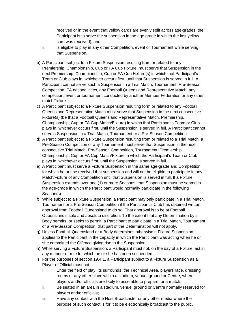received or in the event that yellow cards are evenly split across age-grades, the Participant is to serve the suspension in the age grade in which the last yellow card was received); and

- ii. is eligible to play in any other Competition, event or Tournament while serving that Suspension.
- b) A Participant subject to a Fixture Suspension resulting from or related to any Premiership, Championship, Cup or FA Cup Fixture, must serve that Suspension in the next Premiership, Championship, Cup or FA Cup Fixture(s) in which that Participant's Team or Club plays in, whichever occurs first, until that Suspension is served in full. A Participant cannot serve such a Suspension in a Trial Match, Tournament, Pre-Season Competition, FA national titles, any Football Queensland Representative Match, any competition, event or tournament conducted by another Member Federation or any other match/fixture.
- c) A Participant subject to a Fixture Suspension resulting form or related to any Football Queensland Representative Match must serve that Suspension in the next consecutive Fixture(s) (be that a Football Queensland Representative Match, Premiership, Championship, Cup or FA Cup Match/Fixture) in which that Participant's Team or Club plays in, whichever occurs first, until the Suspension is served in full. A Participant cannot serve a Suspension in a Trial Match, Tournament or a Pre-Season Competition.
- d) A Participant subject to a Fixture Suspension resulting from or related to a Trial Match, a Pre-Season Competition or any Tournament must serve that Suspension in the next consecutive Trial Match, Pre-Season Competition, Tournament, Premiership, Championship, Cup or FA Cup Match/Fixture in which the Participant's Team or Club plays in, whichever occurs first, until the Suspension is served in full.
- e) A Participant must serve a Fixture Suspension in the same age-grade and Competition for which he or she received that suspension and will not be eligible to participate in any Match/Fixture of any Competition until that Suspension is served in full. If a Fixture Suspension extends over one (1) or more Seasons, that Suspension must be served in the age-grade in which the Participant would normally participate in the following Season(s).
- f) While subject to a Fixture Suspension, a Participant may only participate in a Trial Match, Tournament or a Pre-Season Competition if the Participant's Club has obtained written approval from Football Queensland to do so. That approval is to be at Football Queensland's sole and absolute discretion. To the extent that any Determination by a Body permits, or seeks to permit, a Participant to participate in a Trial Match, Tournament or a Pre-Season Competition, that part of the Determination will not apply.
- g) Unless Football Queensland or a Body determines otherwise a Fixture Suspension applies to the Participant in the capacity in which the Participant was acting when he or she committed the Offence giving rise to the Suspension.
- h) While serving a Fixture Suspension, a Participant must not, on the day of a Fixture, act in any manner or role for which he or she has been suspended.
- i) For the purposes of section 19.4.1, a Participant subject to a Fixture Suspension as a Player of Official must not:
	- i. Enter the field of play, its surrounds, the Technical Area, players race, dressing rooms or any other place within a stadium, venue, ground or Centre, where players and/or officials are likely to assemble to prepare for a match;
	- ii. Be seated in an area in a stadium, venue, ground or Centre normally reserved for players and/or officials;
	- iii. Have any contact with the Host Broadcaster or any other media where the purpose of such contact is for it to be electronically broadcast to the public,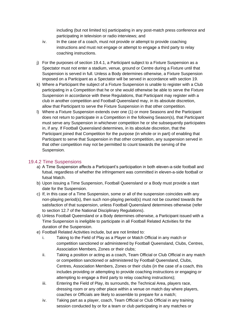including (but not limited to) participating in any post-match press conference and participating in television or radio interviews; and

- iv. In the case of a coach, must not provide or attempt to provide coaching instructions and must not engage or attempt to engage a third party to relay coaching instructions.
- j) For the purposes of section 19.4.1, a Participant subject to a Fixture Suspension as a Spectator must not enter a stadium, venue, ground or Centre during a Fixture until that Suspension is served in full. Unless a Body determines otherwise, a Fixture Suspension imposed on a Participant as a Spectator will be served in accordance with section 19.
- k) Where a Participant the subject of a Fixture Suspension is unable to register with a Club participating in a Competition that he or she would otherwise be able to serve the Fixture Suspension in accordance with these Regulations, that Participant may register with a club in another competition and Football Queensland may, in its absolute discretion, allow that Participant to serve the Fixture Suspension in that other competition.
- l) Where a Fixture Suspension extends over one (1) or more Seasons and the Participant does not return to participate in a Competition in the following Season(s), that Participant must serve any Suspension in whichever competition he or she subsequently participates in, if any. If Football Queensland determines, in its absolute discretion, that the Participant joined that Competition for the purpose (in whole or in part) of enabling that Participant to serve that Suspension in that other competition, any suspension served in that other competition may not be permitted to count towards the serving of the Suspension.

## <span id="page-36-0"></span>19.4.2 Time Suspensions

- a) A Time Suspension affects a Participant's participation in both eleven-a-side football and futsal, regardless of whether the infringement was committed in eleven-a-side football or futsal Match.
- b) Upon issuing a Time Suspension, Football Queensland or a Body must provide a start date for the Suspension.
- c) If, in this case of a Time Suspension, some or all of the suspension coincides with any non-playing period(s), then such non-playing period(s) must not be counted towards the satisfaction of that suspension, unless Football Queensland determines otherwise (refer to section 12.7 of the National Disciplinary Regulations).
- d) Unless Football Queensland or a Body determines otherwise, a Participant issued with a Time Suspension is ineligible to participate in all Football Related Activities for the duration of the Suspension.
- e) Football Related Activities include, but are not limited to:
	- i. Taking to the Field of Play as a Player or Match Official in any match or competition sanctioned or administered by Football Queensland, Clubs, Centres, Association Members, Zones or their clubs;
	- ii. Taking a position or acting as a coach, Team Official or Club Official in any match or competition sanctioned or administered by Football Queensland, Clubs, Centres, Association Members, Zones or their clubs (in the case of a coach, this includes providing or attempting to provide coaching instructions or engaging or attempting to engage a third party to relay coaching instructions);
	- iii. Entering the Field of Play, its surrounds, the Technical Area, players race, dressing room or any other place within a venue on match day where players, coaches or Officials are likely to assemble to prepare for a match;
	- iv. Taking part as a player, coach, Team Official or Club Official in any training session conducted by or for a team or club participating in any matches or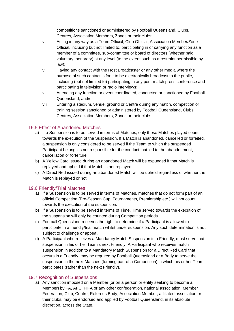competitions sanctioned or administered by Football Queensland, Clubs, Centres, Association Members, Zones or their clubs;

- v. Acting in any way as a Team Official, Club Official, Association Member/Zone Official, including but not limited to, participating in or carrying any function as a member of a committee, sub-committee or board of directors (whether paid, voluntary, honorary) at any level (to the extent such as a restraint permissible by law);
- vi. Having any contact with the Host Broadcaster or any other media where the purpose of such contact is for it to be electronically broadcast to the public, including (but not limited to) participating in any post-match press conference and participating in television or radio interviews;
- vii. Attending any function or event coordinated, conducted or sanctioned by Football Queensland; and/or
- viii. Entering a stadium, venue, ground or Centre during any match, competition or training session sanctioned or administered by Football Queensland, Clubs, Centres, Association Members, Zones or their clubs.

## <span id="page-37-0"></span>19.5 Effect of Abandoned Matches

- a) If a Suspension is to be served in terms of Matches, only those Matches played count towards the execution of the Suspension. If a Match is abandoned, cancelled or forfeited, a suspension is only considered to be served if the Team to which the suspended Participant belongs is not responsible for the conduct that led to the abandonment, cancellation or forfeiture.
- b) A Yellow Card issued during an abandoned Match will be expunged if that Match is replayed and upheld if that Match is not replayed.
- c) A Direct Red issued during an abandoned Match will be upheld regardless of whether the Match is replayed or not.

## <span id="page-37-1"></span>19.6 Friendly/Trial Matches

- a) If a Suspension is to be served in terms of Matches, matches that do not form part of an official Competition (Pre-Season Cup, Tournaments, Premiership etc.) will not count towards the execution of the suspension.
- b) If a Suspension is to be served in terms of Time, Time served towards the execution of the suspension will only be counted during Competition periods.
- c) Football Queensland reserves the right to determine if a Participant is allowed to participate in a friendly/trial match whilst under suspension. Any such determination is not subject to challenge or appeal.
- d) A Participant who receives a Mandatory Match Suspension in a Friendly, must serve that suspension in his or her Team's next Friendly. A Participant who receives match suspension in addition to a Mandatory Match Suspension for a Direct Red Card that occurs in a Friendly, may be required by Football Queensland or a Body to serve the suspension in the next Matches (forming part of a Competition) in which his or her Team participates (rather than the next Friendly).

## <span id="page-37-2"></span>19.7 Recognition of Suspensions

a) Any sanction imposed on a Member (or on a person or entity seeking to become a Member) by FA, AFC, FIFA or any other confederation, national association, Member Federation, Club, Centre, Referees Body, Association Member, affiliated association or their clubs, may be endorsed and applied by Football Queensland, in its absolute discretion, across the State.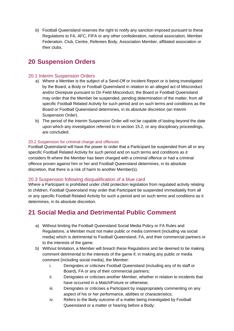b) Football Queensland reserves the right to notify any sanction imposed pursuant to these Regulations to FA, AFC, FIFA or any other confederation, national association, Member Federation, Club, Centre, Referees Body, Association Member, affiliated association or their clubs.

# <span id="page-38-0"></span>**20 Suspension Orders**

## <span id="page-38-1"></span>20.1 Interim Suspension Orders

- a) Where a Member is the subject of a Send-Off or Incident Report or is being investigated by the Board, a Body or Football Queensland in relation to an alleged act of Misconduct and/or Disrepute pursuant to On Field Misconduct, the Board or Football Queensland may order that the Member be suspended, pending determination of the matter, from all specific Football Related Activity for such period and on such terms and conditions as the Board or Football Queensland determines, in its absolute discretion (an Interim Suspension Order).
- b) The period of the Interim Suspension Order will not be capable of lasting beyond the date upon which any investigation referred to in section 15.2, or any disciplinary proceedings, are concluded.

#### <span id="page-38-2"></span>20.2 Suspension for criminal charge and offences

Football Queensland will have the power to order that a Participant be suspended from all or any specific Football Related Activity for such period and on such terms and conditions as it considers fit where the Member has been charged with a criminal offence or had a criminal offence proven against him or her and Football Queensland determines, in its absolute discretion, that there is a risk of harm to another Member(s).

#### <span id="page-38-3"></span>20.3 Suspension following disqualification of a blue card

Where a Participant is prohibited under child protection legislation from regulated activity relating to children, Football Queensland may order that Participant be suspended immediately from all or any specific Football Related Activity for such a period and on such terms and conditions as it determines, in its absolute discretion.

# <span id="page-38-4"></span>**21 Social Media and Detrimental Public Comment**

- a) Without limiting the Football Queensland Social Media Policy or FA Rules and Regulations, a Member must not make public or media comment (including via social media) which is detrimental to Football Queensland, FA, and their commercial partners or to the interests of the game.
- b) Without limitation, a Member will breach these Regulations and be deemed to be making comment detrimental to the interests of the game if, in making any public or media comment (including social media), the Member:
	- i. Denigrates or criticises Football Queensland (including any of its staff or Board), FA or any of their commercial partners;
	- ii. Denigrates or criticises another Member, whether in relation to incidents that have occurred in a Match/Fixture or otherwise;
	- iii. Denigrates or criticises a Participant by inappropriately commenting on any aspect of his or her performance, abilities or characteristics;
	- iv. Refers to the likely outcome of a matter being investigated by Football Queensland or a matter or hearing before a Body;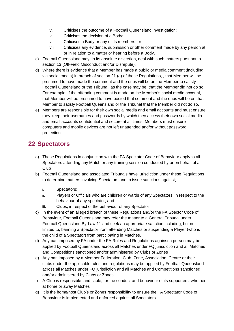- v. Criticises the outcome of a Football Queensland investigation;
- vi. Criticises the decision of a Body;
- vii. Criticises a Body or any of its members; or
- viii. Criticises any evidence, submission or other comment made by any person at or in relation to a matter or hearing before a Body.
- c) Football Queensland may, in its absolute discretion, deal with such matters pursuant to section 13 (Off-Field Misconduct and/or Disrepute).
- d) Where there is evidence that a Member has made a public or media comment (including via social media) in breach of section 21 (a) of these Regulations, , that Member will be presumed to have made the comment and the onus will be on the Member to satisfy Football Queensland or the Tribunal, as the case may be, that the Member did not do so. For example, if the offending comment is made on the Member's social media account, that Member will be presumed to have posted that comment and the onus will be on that Member to satisfy Football Queensland or the Tribunal that the Member did not do so.
- e) Members are responsible for their own social media and email accounts and must ensure they keep their usernames and passwords by which they access their own social media and email accounts confidential and secure at all times. Members must ensure computers and mobile devices are not left unattended and/or without password protection.

# <span id="page-39-0"></span>**22 Spectators**

- a) These Regulations in conjunction with the FA Spectator Code of Behaviour apply to all Spectators attending any Match or any training session conducted by or on behalf of a Club
- b) Football Queensland and associated Tribunals have jurisdiction under these Regulations to determine matters involving Spectators and to issue sanctions against;
	- i. Spectators;
	- ii. Players or Officials who are children or wards of any Spectators, in respect to the behaviour of any spectator; and
	- iii. Clubs, in respect of the behaviour of any Spectator
- c) In the event of an alleged breach of these Regulations and/or the FA Spector Code of Behaviour, Football Queensland may refer the matter to a General Tribunal under Football Queensland By-Law 11 and seek an appropriate sanction including, but not limited to, banning a Spectator from attending Matches or suspending a Player (who is the child of a Spectator) from participating in Matches.
- d) Any ban imposed by FA under the FA Rules and Regulations against a person may be applied by Football Queensland across all Matches under FQ jurisdiction and all Matches and Competitions sanctioned and/or administered by Clubs or Zones
- e) Any ban imposed by a Member Federation, Club, Zone, Association, Centre or their clubs under the applicable rules and regulations may be applied by Football Queensland across all Matches under FQ jurisdiction and all Matches and Competitions sanctioned and/or administered by Clubs or Zones
- f) A Club is responsible, and liable, for the conduct and behaviour of its supporters, whether at home or away Matches
- g) It is the home/host Club's or Zones responsibility to ensure the FA Spectator Code of Behaviour is implemented and enforced against all Spectators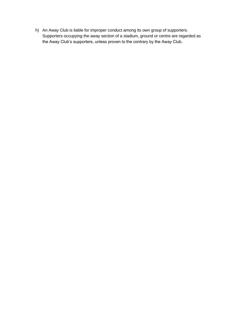h) An Away Club is liable for improper conduct among its own group of supporters. Supporters occupying the away section of a stadium, ground or centre are regarded as the Away Club's supporters, unless proven to the contrary by the Away Club.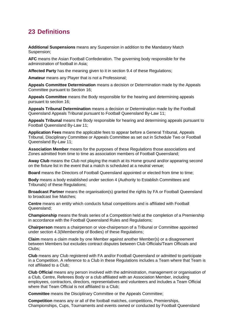# <span id="page-41-0"></span>**23 Definitions**

**Additional Suspensions** means any Suspension in addition to the Mandatory Match Suspension;

**AFC** means the Asian Football Confederation. The governing body responsible for the administration of football in Asia;

**Affected Party** has the meaning given to it in section 9.4 of these Regulations;

**Amateur** means any Player that is not a Professional;

**Appeals Committee Determination** means a decision or Determination made by the Appeals Committee pursuant to Section 16;

**Appeals Committee** means the Body responsible for the hearing and determining appeals pursuant to section 16;

**Appeals Tribunal Determination** means a decision or Determination made by the Football Queensland Appeals Tribunal pursuant to Football Queensland By-Law 11;

**Appeals Tribunal** means the Body responsible for hearing and determining appeals pursuant to Football Queensland By-Law 11;

**Application Fees** means the applicable fees to appear before a General Tribunal, Appeals Tribunal, Disciplinary Committee or Appeals Committee as set out in Schedule Two or Football Queensland By-Law 11;

**Association Member** means for the purposes of these Regulations those associations and Zones admitted from time to time as association members of Football Queensland;

**Away Club** means the Club not playing the match at its Home ground and/or appearing second on the fixture list in the event that a match is scheduled at a neutral venue;

**Board** means the Directors of Football Queensland appointed or elected from time to time;

**Body** means a body established under section 4 (Authority to Establish Committees and Tribunals) of these Regulations;

**Broadcast Partner** means the organisation(s) granted the rights by FA or Football Queensland to broadcast live Matches;

**Centre** means an entity which conducts futsal competitions and is affiliated with Football Queensland;

**Championship** means the finals series of a Competition held at the completion of a Premiership in accordance with the Football Queensland Rules and Regulations;

**Chairperson** means a chairperson or vice-chairperson of a Tribunal or Committee appointed under section 4.3(Membership of Bodies) of these Regulations;

**Claim** means a claim made by one Member against another Member(s) or a disagreement between Members but excludes contract disputes between Club Officials/Team Officials and Clubs;

**Club** means any Club registered with FA and/or Football Queensland or admitted to participate in a Competition. A reference to a Club in these Regulations includes a Team where that Team is not affiliated to a Club;

**Club Official** means any person involved with the administration, management or organisation of a Club, Centre, Referees Body or a club affiliated with an Association Member, including employees, contractors, directors, representatives and volunteers and includes a Team Official where that Team Official is not affiliated to a Club;

**Committee** means the Disciplinary Committee or the Appeals Committee;

**Competition** means any or all of the football matches, competitions, Premierships, Championships, Cups, Tournaments and events owned or conducted by Football Queensland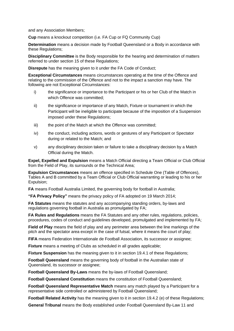and any Association Members;

**Cup** means a knockout competition (i.e. FA Cup or FQ Community Cup)

**Determination** means a decision made by Football Queensland or a Body in accordance with these Regulations;

**Disciplinary Committee** is the Body responsible for the hearing and determination of matters referred to under section 15 of these Regulations;

**Disrepute** has the meaning given to it under the FA Code of Conduct:

**Exceptional Circumstances** means circumstances operating at the time of the Offence and relating to the commission of the Offence and not to the impact a sanction may have. The following are not Exceptional Circumstances:

- i) the significance or importance to the Participant or his or her Club of the Match in which Offence was committed;
- ii) the significance or importance of any Match, Fixture or tournament in which the Participant will be ineligible to participate because of the imposition of a Suspension imposed under these Regulations;
- iii) the point of the Match at which the Offence was committed;
- iv) the conduct, including actions, words or gestures of any Participant or Spectator during or related to the Match; and
- v) any disciplinary decision taken or failure to take a disciplinary decision by a Match Official during the Match.

**Expel, Expelled and Expulsion** means a Match Official directing a Team Official or Club Official from the Field of Play, its surrounds or the Technical Area;

**Expulsion Circumstances** means an offence specified in Schedule One (Table of Offences), Tables A and B committed by a Team Official or Club Official warranting or leading to his or her Expulsion;

**FA** means Football Australia Limited, the governing body for football in Australia;

**"FA Privacy Policy"** means the privacy policy of FA adopted on 19 March 2014;

**FA Statutes** means the statutes and any accompanying standing orders, by-laws and regulations governing football in Australia as promulgated by FA;

**FA Rules and Regulations** means the FA Statutes and any other rules, regulations, policies, procedures, codes of conduct and guidelines developed, promulgated and implemented by FA;

**Field of Play** means the field of play and any perimeter area between the line markings of the pitch and the spectator area except in the case of futsal, where it means the court of play;

**FIFA** means Federation Internationale de Football Association, its successor or assignee;

**Fixture** means a meeting of Clubs as scheduled in all grades applicable;

**Fixture Suspension** has the meaning given to it in section 19.4.1 of these Regulations;

**Football Queensland** means the governing body of football in the Australian state of Queensland, its successor or assignee;

**Football Queensland By-Laws** means the by-laws of Football Queensland;

**Football Queensland Constitution** means the constitution of Football Queensland;

**Football Queensland Representative Match** means any match played by a Participant for a representative side controlled or administered by Football Queensland;

**Football Related Activity** has the meaning given to it in section 19.4.2 (e) of these Regulations;

**General Tribunal** means the Body established under Football Queensland By-Law 11 and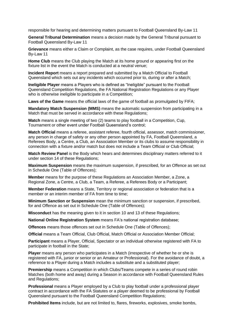responsible for hearing and determining matters pursuant to Football Queensland By-Law 11

**General Tribunal Determination** means a decision made by the General Tribunal pursuant to Football Queensland By-Law 11

**Grievance** means either a Claim or Complaint, as the case requires, under Football Queensland By-Law 11

**Home Club** means the Club playing the Match at its home ground or appearing first on the fixture list in the event the Match is conducted at a neutral venue;

**Incident Report** means a report prepared and submitted by a Match Official to Football Queensland which sets out any incidents which occurred prior to, during or after a Match;

**Ineligible Player** means a Players who is defined as "Ineligible" pursuant to the Football Queensland Competition Regulations, the FA National Registration Regulations or any Player who is otherwise ineligible to participate in a Competition;

**Laws of the Game** means the official laws of the game of football as promulgated by FIFA;

**Mandatory Match Suspension (MMS)** means the automatic suspension from participating in a Match that must be served in accordance with these Regulations;

**Match** means a single meeting of two (2) teams to play football in a Competition, Cup, Tournament or other event under Football Queensland's control;

**Match Official** means a referee, assistant referee, fourth official, assessor, match commissioner, any person in charge of safety or any other person appointed by FA, Football Queensland, a Referees Body, a Centre, a Club, an Association Member or its clubs to assume responsibility in connection with a fixture and/or match but does not include a Team Official or Club Official;

**Match Review Panel** is the Body which hears and determines disciplinary matters referred to it under section 14 of these Regulations;

**Maximum Suspension** means the maximum suspension, if prescribed, for an Offence as set out in Schedule One (Table of Offences);

**Member** means for the purpose of these Regulations an Association Member, a Zone, a Regional Zone, a Centre, a Club, a Team, a Referee, a Referees Body or a Participant;

**Member Federation** means a State, Territory or regional association or federation that is a member or an interim member of FA from time to time;

**Minimum Sanction or Suspension** mean the minimum sanction or suspension, if prescribed, for and Offence as set out in Schedule One (Table of Offences);

**Misconduct** has the meaning given to it in section 10 and 13 of these Regulations;

**National Online Registration System** means FA's national registration database;

**Offences** means those offences set out in Schedule One (Table of Offences);

**Official** means a Team Official, Club Official, Match Official or Association Member Official;

**Participant** means a Player, Official, Spectator or an individual otherwise registered with FA to participate in football in the State;

**Player** means any person who participates in a Match (irrespective of whether he or she is registered with FA, junior or senior or an Amateur or Professional). For the avoidance of doubt, a reference to a Player during a Match includes a substitute and a substituted player;

**Premiership** means a Competition in which Clubs/Teams compete in a series of round robin Matches (both home and away) during a Season in accordance with Football Queensland Rules and Regulations;

**Professional** means a Player employed by a Club to play football under a professional player contract in accordance with the FA Statutes or a player deemed to be professional by Football Queensland pursuant to the Football Queensland Competition Regulations;

**Prohibited Items** include, but are not limited to, flares, fireworks, explosives, smoke bombs,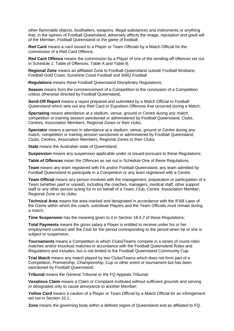other flammable objects, loudhailers, weapons, illegal substances and instruments or anything that, in the opinion of Football Queensland, adversely affects the image, reputation and good will of the Member, Football Queensland or the game of football;

**Red Card** means a card issued to a Player or Team Officials by a Match Official for the commission of a Red Card Offence;

**Red Card Offence** means the commission by a Player of one of the sending-off offences set out in Schedule 1: Table of Offences, Table A and Table B;

**Regional Zone** means an affiliated Zone to Football Queensland outside Football Brisbane, Football Gold Coast, Sunshine Coast Football and SWQ Football

**Regulations** means these Football Queensland Disciplinary Regulations;

**Season** means from the commencement of a Competition to the conclusion of a Competition unless otherwise directed by Football Queensland;

**Send-Off Report** means a report prepared and submitted by a Match Official to Football Queensland which sets out any Red Card or Expulsion Offences that occurred during a Match;

**Spectating** means attendance at a stadium, venue, ground or Centre during any match, competition or training session sanctioned or administered by Football Queensland, Clubs, Centres, Association Members, Regional Zones or their clubs;

**Spectator** means a person in attendance at a stadium, venue, ground or Centre during any match, competition or training session sanctioned or administered by Football Queensland, Clubs, Centres, Association Members, Regional Zones or their Clubs;

**State** means the Australian state of Queensland;

**Suspension** means any suspension applicable under or issued pursuant to these Regulations;

**Table of Offences** mean the Offences as set out in Schedule One of these Regulations;

**Team** means any team registered with FA and/or Football Queensland, any team admitted by Football Queensland to participate in a Competition or any team registered with a Centre;

**Team Official** means any person involved with the management, preparation or participation of a Team (whether paid or unpaid), including the coaches, managers, medical staff, other support staff or any other person acting for or on behalf of a Team, Club, Centre, Association Member, Regional Zone or its clubs;

**Technical Area** means the area marked and designated in accordance with the IFAB Laws of the Game within which the coach, substitute Players and the Team Officials must remain during a match;

**Time Suspension** has the meaning given to it in Section 18.4.2 of these Regulations;

**Total Payments** means the gross salary a Player is entitled to receive under his or her employment contract with the Club for the period corresponding to the period when he or she is subject to suspension;

**Tournaments** means a Competition in which Clubs/Teams compete in a series of round robin matches and/or knockout matches in accordance with the Football Queensland Rules and Regulations and includes, but is not limited to the Football Queensland Community Cup;

**Trial Match** means any match played by two Clubs/Teams which does not form part of a Competition, Premiership, Championship, Cup or other event or tournament but has been sanctioned by Football Queensland;

**Tribunal** means the General Tribunal or the FQ Appeals Tribunal;

**Vexatious Claim** means a Claim or Complaint instituted without sufficient grounds and serving or designated only to cause annoyance to another Member;

**Yellow Card** means a caution of a Player or Team Official by a Match Official for an infringement set out in Section 10.1;

**Zone** means the governing body within a defined region of Queensland and as affiliated to FQ.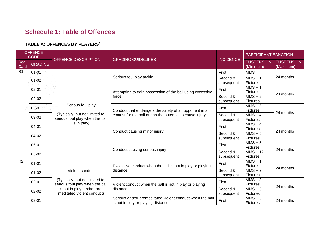# **Schedule 1: Table of Offences**

## **TABLE A: OFFENCES BY PLAYERS<sup>1</sup>**

| <b>OFFENCE</b><br><b>CODE</b> |                              |                                                                                   |                                                                                                 |                              | PARTICIPANT SANCTION                           |                                |
|-------------------------------|------------------------------|-----------------------------------------------------------------------------------|-------------------------------------------------------------------------------------------------|------------------------------|------------------------------------------------|--------------------------------|
| Red<br>Card                   | <b>GRADING</b>               | OFFENCE DESCRIPTION                                                               | <b>GRADING GUIDELINES</b>                                                                       | <b>INCIDENCE</b>             | <b>SUSPENSION</b><br>(Minimum)                 | <b>SUSPENSION</b><br>(Maximum) |
| R <sub>1</sub>                | $01 - 01$                    |                                                                                   |                                                                                                 | First                        | <b>MMS</b>                                     |                                |
|                               | $01 - 02$                    |                                                                                   | Serious foul play tackle                                                                        | Second &<br>subsequent       | $MMS + 1$<br>Fixture                           | 24 months                      |
|                               | $02 - 01$                    |                                                                                   | Attempting to gain possession of the ball using excessive                                       | First                        | $MMS + 1$<br>Fixture                           | 24 months                      |
|                               | $02 - 02$                    |                                                                                   | force                                                                                           | Second &<br>subsequent       | $MMS + 2$<br><b>Fixtures</b>                   |                                |
|                               | 03-01                        | Serious foul play                                                                 | Conduct that endangers the safety of an opponent in a                                           | First                        | $MMS + 3$<br><b>Fixtures</b>                   |                                |
|                               | 03-02                        | (Typically, but not limited to,<br>serious foul play when the ball<br>is in play) | contest for the ball or has the potential to cause injury                                       | Second &<br>subsequent       | $\overline{\text{MMS}} + 4$<br><b>Fixtures</b> | 24 months                      |
|                               | 04-01                        |                                                                                   |                                                                                                 | First                        | $MMS + 4$<br><b>Fixtures</b>                   |                                |
|                               | 04-02                        |                                                                                   | Conduct causing minor injury                                                                    | Second &<br>subsequent       | $MMS + 5$<br><b>Fixtures</b>                   | 24 months                      |
|                               | $05 - 01$                    |                                                                                   |                                                                                                 | First                        | $MMS + 8$<br><b>Fixtures</b>                   |                                |
|                               | $05 - 02$                    |                                                                                   | Conduct causing serious injury                                                                  | Second &<br>subsequent       | $MMS + 12$<br><b>Fixtures</b>                  | 24 months                      |
| R <sub>2</sub>                | $01 - 01$                    |                                                                                   | Excessive conduct when the ball is not in play or playing                                       | First                        | $MMS + 1$<br>Fixture                           |                                |
|                               | Violent conduct<br>$01 - 02$ | distance                                                                          | Second &<br>subsequent                                                                          | $MMS + 2$<br><b>Fixtures</b> | 24 months                                      |                                |
|                               | $02 - 01$                    | (Typically, but not limited to,<br>serious foul play when the ball                | Violent conduct when the ball is not in play or playing                                         | First                        | $MMS + 3$<br><b>Fixtures</b>                   |                                |
|                               | $02 - 02$                    | is not in play, and/or pre-<br>meditated violent conduct)                         | distance                                                                                        | Second &<br>subsequent       | $MMS + 5$<br><b>Fixtures</b>                   | 24 months                      |
|                               | 03-01                        |                                                                                   | Serious and/or premeditated violent conduct when the ball<br>is not in play or playing distance | First                        | $MMS + 6$<br><b>Fixtures</b>                   | 24 months                      |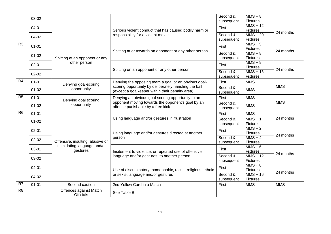|                | 03-02     |                                            |                                                                                                          | Second &<br>subsequent | $MMS + 8$<br><b>Fixtures</b>  |            |
|----------------|-----------|--------------------------------------------|----------------------------------------------------------------------------------------------------------|------------------------|-------------------------------|------------|
|                | $04 - 01$ |                                            |                                                                                                          | First                  | $MMS + 12$                    |            |
|                |           |                                            | Serious violent conduct that has caused bodily harm or<br>responsibility for a violent melee             | Second &               | <b>Fixtures</b><br>$MMS + 20$ | 24 months  |
|                | 04-02     |                                            |                                                                                                          | subsequent             | <b>Fixtures</b>               |            |
| R <sub>3</sub> | $01 - 01$ |                                            |                                                                                                          | First                  | $MMS + 5$<br><b>Fixtures</b>  |            |
|                | $01 - 02$ | Spitting at an opponent or any             | Spitting at or towards an opponent or any other person                                                   | Second &<br>subsequent | $MMS + 8$<br><b>Fixtures</b>  | 24 months  |
|                | $02 - 01$ | other person                               |                                                                                                          | First                  | $MMS + 8$<br><b>Fixtures</b>  |            |
|                | $02 - 02$ |                                            | Spitting on an opponent or any other person                                                              | Second &<br>subsequent | $MMS + 16$<br><b>Fixtures</b> | 24 months  |
| R4             | $01 - 01$ | Denying goal-scoring                       | Denying the opposing team a goal or an obvious goal-                                                     | First                  | <b>MMS</b>                    |            |
|                | $01 - 02$ | opportunity                                | scoring opportunity by deliberately handling the ball<br>(except a goalkeeper within their penalty area) | Second &<br>subsequent | <b>MMS</b>                    | <b>MMS</b> |
| R <sub>5</sub> | $01 - 01$ | Denying goal scoring                       | Denying an obvious goal-scoring opportunity to an                                                        | First                  | <b>MMS</b>                    | <b>MMS</b> |
|                | $01 - 02$ | opportunity                                | opponent moving towards the opponent's goal by an<br>offence punishable by a free kick                   | Second &<br>subsequent | <b>MMS</b>                    |            |
| R <sub>6</sub> | $01 - 01$ |                                            |                                                                                                          | First                  | <b>MMS</b>                    |            |
|                | $01 - 02$ |                                            | Using language and/or gestures in frustration                                                            | Second &<br>subsequent | $MMS + 1$<br>Fixture          | 24 months  |
|                | $02 - 01$ |                                            | Using language and/or gestures directed at another                                                       | First                  | $MMS + 2$<br><b>Fixtures</b>  | 24 months  |
|                | $02 - 02$ | Offensive, insulting, abusive or           | person                                                                                                   | Second &<br>subsequent | $MMS + 4$<br><b>Fixtures</b>  |            |
|                | 03-01     | intimidating language and/or<br>gestures   | Incitement to violence, or repeated use of offensive                                                     | First                  | $MMS + 6$<br><b>Fixtures</b>  | 24 months  |
|                | 03-02     |                                            | language and/or gestures, to another person                                                              | Second &<br>subsequent | $MMS + 12$<br><b>Fixtures</b> |            |
|                | $04 - 01$ |                                            | Use of discriminatory, homophobic, racist, religious, ethnic                                             | First                  | $MMS + 8$<br><b>Fixtures</b>  | 24 months  |
|                | 04-02     |                                            | or sexist language and/or gestures                                                                       | Second &<br>subsequent | $MMS + 16$<br><b>Fixtures</b> |            |
| R7             | $01 - 01$ | Second caution                             | 2nd Yellow Card in a Match                                                                               | First                  | <b>MMS</b>                    | <b>MMS</b> |
| R <sub>8</sub> |           | Offences against Match<br><b>Officials</b> | See Table B                                                                                              |                        |                               |            |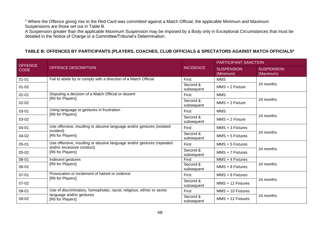<sup>1</sup> Where the Offence giving rise to the Red Card was committed against a Match Official, the applicable Minimum and Maximum Suspensions are those set out in Table B.

A Suspension greater than the applicable Maximum Suspension may be imposed by a Body only in Exceptional Circumstances that must be detailed in the Notice of Charge or a Committee/Tribunal's Determination.

#### **TABLE B: OFFENCES BY PARTICIPANTS (PLAYERS, COACHES, CLUB OFFICIALS & SPECTATORS AGAINST MATCH OFFICIALS\***

| <b>OFFENCE</b> |                                                                        |                        | <b>PARTICIPANT SANCTION</b>    |                                |  |
|----------------|------------------------------------------------------------------------|------------------------|--------------------------------|--------------------------------|--|
| <b>CODE</b>    | <b>OFFENCE DESCRIPTION</b>                                             | <b>INCIDENCE</b>       | <b>SUSPENSION</b><br>(Minimum) | <b>SUSPENSION</b><br>(Maximum) |  |
| $01 - 01$      | Fail to abide by or comply with a direction of a Match Official        | <b>First</b>           | <b>MMS</b>                     |                                |  |
| $01 - 02$      |                                                                        | Second &<br>subsequent | $MMS + 2$ Fixture              | 24 months                      |  |
| $02 - 01$      | Disputing a decision of a Match Official or dissent                    | First                  | <b>MMS</b>                     |                                |  |
| $02 - 02$      | [R6 for Players]                                                       | Second &<br>subsequent | $MMS + 2$ Fixture              | 24 months                      |  |
| 03-01          | Using language or gestures in frustration                              | First                  | <b>MMS</b>                     |                                |  |
| 03-02          | [R6 for Players]                                                       | Second &<br>subsequent | $MMS + 2$ Fixture              | 24 months                      |  |
| 04-01          | Use offensive, insulting or abusive language and/or gestures (isolated | First                  | MMS + 3 Fixtures               |                                |  |
| 04-02          | incident)<br>[R6 for Players]                                          | Second &<br>subsequent | $MMS + 5$ Fixtures             | 24 months                      |  |
| $05 - 01$      | Use offensive, insulting or abusive language and/or gestures (repeated | First                  | MMS + 5 Fixtures               |                                |  |
| 05-02          | and/or excessive conduct)<br>[R6 for Players]                          | Second &<br>subsequent | $MMS + 7$ Fixtures             | 24 months                      |  |
| 06-01          | Indecent gestures                                                      | First                  | $MMS + 4$ Fixtures             |                                |  |
| 06-02          | [R6 for Players]                                                       | Second &<br>subsequent | $MMS + 8$ Fixtures             | 24 months                      |  |
| $07 - 01$      | Provocation or incitement of hatred or violence<br>[R6 for Players]    | First                  | MMS + 8 Fixtures               |                                |  |
| $07-02$        |                                                                        | Second &<br>subsequent | MMS + 12 Fixtures              | 24 months                      |  |
| 08-01          | Use of discriminatory, homophobic, racist, religious, ethnic or sexist | First                  | MMS + 10 Fixtures              |                                |  |
| 08-02          | language and/or gestures<br>[R6 for Players]                           | Second &<br>subsequent | $MMS + 12$ Fixtures            | 24 months                      |  |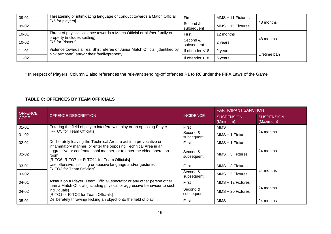| 09-01     | Threatening or intimidating language or conduct towards a Match Official<br>[R6 for players] | First              | MMS + 11 Fixtures |              |  |
|-----------|----------------------------------------------------------------------------------------------|--------------------|-------------------|--------------|--|
| 09-02     | Second &<br>subsequent                                                                       |                    | MMS + 15 Fixtures | 48 months    |  |
| $10 - 01$ | Threat of physical violence towards a Match Official or his/her family or                    | First              | 12 months         |              |  |
| $10 - 02$ | property (includes spitting)<br>Second &<br>[R6 for Players]<br>subsequent                   |                    | 2 years           | 48 months    |  |
| $11 - 01$ | Violence towards a Teal Shirt referee or Junior Match Official (identified by                | If offender $<$ 18 | 2 years           | Lifetime ban |  |
| $11 - 02$ | pink armband) and/or their family/property<br>If offender $>18$                              |                    | 5 years           |              |  |

\* In respect of Players, Column 2 also references the relevant sending-off offences R1 to R6 under the FIFA Laws of the Game

## **TABLE C: OFFENCES BY TEAM OFFICIALS**

| <b>OFFENCE</b> |                                                                                                                                                                                                  |                        | <b>PARTICIPANT SANCTION</b>    |                                |  |
|----------------|--------------------------------------------------------------------------------------------------------------------------------------------------------------------------------------------------|------------------------|--------------------------------|--------------------------------|--|
| <b>CODE</b>    | OFFENCE DESCRIPTION                                                                                                                                                                              | <b>INCIDENCE</b>       | <b>SUSPENSION</b><br>(Minimum) | <b>SUSPENSION</b><br>(Maximum) |  |
| $01 - 01$      | Entering the field of play to interfere with play or an opposing Player                                                                                                                          | First                  | <b>MMS</b>                     |                                |  |
| $01 - 02$      | [R-TO5 for Team Officials]<br>Second &<br>subsequent                                                                                                                                             |                        | MMS + 1 Fixture                | 24 months                      |  |
| $02 - 01$      | Deliberately leaving the Technical Area to act in a provocative or                                                                                                                               | First                  | $MMS + 1$ Fixture              |                                |  |
| $02 - 02$      | inflammatory manner, or enter the opposing Technical Area in an<br>aggressive or confrontational manner, or to enter the video operation<br>room<br>[R-TO6, R-TO7, or R-TO11 for Team Officials] | Second &<br>subsequent | $MMS + 3$ Fixtures             | 24 months                      |  |
| 03-01          | Use offensive, insulting or abusive language and/or gestures                                                                                                                                     | First                  | $MMS + 3$ Fixtures             |                                |  |
| 03-02          | [R-TO3 for Team Officials]                                                                                                                                                                       | Second &<br>subsequent | $MMS + 5$ Fixtures             | 24 months                      |  |
| 04-01          | Assault on a Player, Team Official, spectator or any other person other<br>than a Match Official (including physical or aggressive behaviour to such                                             | First                  | $MMS + 12$ Fixtures            |                                |  |
| 04-02          | individuals)<br>[R-TO1 or R-TO2 for Team Officials]                                                                                                                                              | Second &<br>subsequent | $MMS + 20$ Fixtures            | 24 months                      |  |
| 05-01          | Deliberately throwing/ kicking an object onto the field of play                                                                                                                                  | First                  | <b>MMS</b>                     | 24 months                      |  |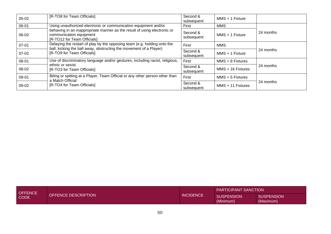| $05-02$   | [R-TO8 for Team Officials]                                                                                                                     | Second &<br>subsequent | MMS + 1 Fixture    |           |  |
|-----------|------------------------------------------------------------------------------------------------------------------------------------------------|------------------------|--------------------|-----------|--|
| 06-01     | Using unauthorized electronic or communication equipment and/or                                                                                | First                  | <b>MMS</b>         |           |  |
| 06-02     | behaving in an inappropriate manner as the result of using electronic or<br>communication equipment<br>[R-TO12 for Team Officials]             | Second &<br>subsequent | MMS + 1 Fixture    | 24 months |  |
| $07 - 01$ | Delaying the restart of play by the opposing team (e.g. holding onto the<br>ball, kicking the ball away, obstructing the movement of a Player) | First                  | <b>MMS</b>         |           |  |
| $07-02$   | [R-TO9 for Team Officials]                                                                                                                     | Second &<br>subsequent | MMS + 1 Fixture    | 24 months |  |
| 08-01     | Use of discriminatory language and/or gestures, including racist, religious,                                                                   | First                  | $MMS + 8$ Fixtures |           |  |
| 08-02     | ethnic or sexist<br>[R-TO3 for Team Officials]                                                                                                 | Second &<br>subsequent | MMS + 16 Fixtures  | 24 months |  |
| 09-01     | Biting or spitting at a Player, Team Official or any other person other than<br>a Match Official                                               | First                  | $MMS + 5$ Fixtures |           |  |
| 09-02     | Second &<br>[R-TO4 for Team Officials]                                                                                                         |                        | MMS + 11 Fixtures  | 24 months |  |

| <b>OFFENCE</b><br><b>OFFENCE DESCRIPTION</b><br><b>CODE</b> |                  |                                | <b>PARTICIPANT SANCTION</b>    |  |
|-------------------------------------------------------------|------------------|--------------------------------|--------------------------------|--|
|                                                             | <b>INCIDENCE</b> | <b>SUSPENSION</b><br>(Minimum) | <b>SUSPENSION</b><br>(Maximum) |  |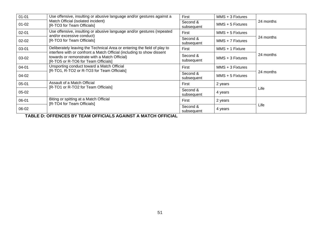| $01 - 01$ | Use offensive, insulting or abusive language and/or gestures against a                                                                                         | First                  | $MMS + 3$ Fixtures |           |  |
|-----------|----------------------------------------------------------------------------------------------------------------------------------------------------------------|------------------------|--------------------|-----------|--|
| $01 - 02$ | Match Official (isolated incident)<br>[R-TO3 for Team Officials]                                                                                               | Second &<br>subsequent | $MMS + 5$ Fixtures | 24 months |  |
| $02 - 01$ | Use offensive, insulting or abusive language and/or gestures (repeated                                                                                         | First                  | $MMS + 5$ Fixtures |           |  |
| $02 - 02$ | and/or excessive conduct)<br>[R-TO3 for Team Officials]                                                                                                        | Second &<br>subsequent | $MMS + 7$ Fixtures | 24 months |  |
| 03-01     | Deliberately leaving the Technical Area or entering the field of play to                                                                                       | First                  | MMS + 1 Fixture    |           |  |
| 03-02     | interfere with or confront a Match Official (including to show dissent<br>towards or remonstrate with a Match Official)<br>[R-TO5 or R-TO6 for Team Officials] | Second &<br>subsequent | $MMS + 3$ Fixtures | 24 months |  |
| 04-01     | Unsporting conduct toward a Match Official<br>[R-TO1, R-TO2 or R-TO3 for Team Officials]                                                                       | First                  | $MMS + 3$ Fixtures |           |  |
| 04-02     |                                                                                                                                                                | Second &<br>subsequent | $MMS + 5$ Fixtures | 24 months |  |
| $05 - 01$ | Assault of a Match Official<br>[R-TO1 or R-TO2 for Team Officials]                                                                                             | First                  | 2 years            |           |  |
| 05-02     |                                                                                                                                                                | Second &<br>subsequent | 4 years            | Life      |  |
| 06-01     | Biting or spitting at a Match Official<br>[R-TO4 for Team Officials]                                                                                           | First                  | 2 years            |           |  |
| 06-02     |                                                                                                                                                                | Second &<br>subsequent | 4 years            | Life      |  |

**TABLE D: OFFENCES BY TEAM OFFICIALS AGAINST A MATCH OFFICIAL**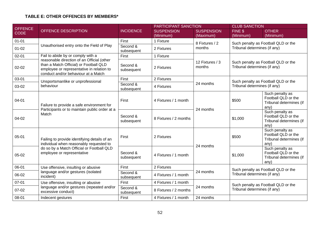## **TABLE E: OTHER OFFENCES BY MEMBERS\***

| <b>OFFENCE</b> |                                                                                                                                                                          |                        | PARTICIPANT SANCTION              |                           |                                                                     | <b>CLUB SANCTION</b>                                                      |  |
|----------------|--------------------------------------------------------------------------------------------------------------------------------------------------------------------------|------------------------|-----------------------------------|---------------------------|---------------------------------------------------------------------|---------------------------------------------------------------------------|--|
| <b>CODE</b>    | OFFENCE DESCRIPTION                                                                                                                                                      | <b>INCIDENCE</b>       | <b>SUSPENSION</b>                 | <b>SUSPENSION</b>         | FINE \$                                                             | <b>OTHER</b>                                                              |  |
|                |                                                                                                                                                                          |                        | (Minimum)                         | (Maximum)                 | (Minimum)                                                           | (Minimum)                                                                 |  |
| $01 - 01$      |                                                                                                                                                                          | First                  | 1 Fixture                         | 8 Fixtures / 2            |                                                                     | Such penalty as Football QLD or the                                       |  |
| $01 - 02$      | Unauthorised entry onto the Field of Play                                                                                                                                | Second &<br>subsequent | 2 Fixtures                        | months                    | Tribunal determines (if any)                                        |                                                                           |  |
| $02 - 01$      | Fail to abide by or comply with a                                                                                                                                        | First                  | 1 Fixture                         |                           |                                                                     |                                                                           |  |
| $02 - 02$      | reasonable direction of an Official (other<br>than a Match Official) or Football QLD<br>employee or representative in relation to<br>conduct and/or behaviour at a Match | Second &<br>subsequent | 2 Fixtures                        | 12 Fixtures / 3<br>months | Tribunal determines (if any)                                        | Such penalty as Football QLD or the                                       |  |
| 03-01          | Unsportsmanlike or unprofessional                                                                                                                                        | First                  | 2 Fixtures                        |                           |                                                                     |                                                                           |  |
| 03-02          | behaviour                                                                                                                                                                | Second &<br>subsequent | 4 Fixtures                        | 24 months                 | Such penalty as Football QLD or the<br>Tribunal determines (if any) |                                                                           |  |
| $04 - 01$      | Failure to provide a safe environment for<br>Participants or to maintain public order at a<br>Match                                                                      | First                  | 4 Fixtures / 1 month              | 24 months                 | \$500                                                               | Such penalty as<br>Football QLD or the<br>Tribunal determines (if<br>any) |  |
| 04-02          |                                                                                                                                                                          | Second &<br>subsequent | 8 Fixtures / 2 months             |                           | \$1,000                                                             | Such penalty as<br>Football QLD or the<br>Tribunal determines (if<br>any) |  |
| $05 - 01$      | Failing to provide identifying details of an<br>individual when reasonably requested to                                                                                  | First                  | 2 Fixtures                        |                           | \$500                                                               | Such penalty as<br>Football QLD or the<br>Tribunal determines (if<br>any) |  |
| 05-02          | do so by a Match Official or Football QLD<br>employee or representative                                                                                                  | Second &<br>subsequent | 24 months<br>4 Fixtures / 1 month |                           | \$1,000                                                             | Such penalty as<br>Football QLD or the<br>Tribunal determines (if<br>any) |  |
| 06-01          | Use offensive, insulting or abusive                                                                                                                                      | First                  | 2 Fixtures                        |                           |                                                                     | Such penalty as Football QLD or the                                       |  |
| 06-02          | language and/or gestures (isolated<br>incident)                                                                                                                          | Second &<br>subsequent | 4 Fixtures / 1 month              | 24 months                 | Tribunal determines (if any)                                        |                                                                           |  |
| $07 - 01$      | Use offensive, insulting or abusive                                                                                                                                      | First                  | 4 Fixtures / 1 month              |                           |                                                                     | Such penalty as Football QLD or the                                       |  |
| 07-02          | language and/or gestures (repeated and/or<br>excessive conduct)                                                                                                          | Second &<br>subsequent | 8 Fixtures / 2 months             | 24 months                 | Tribunal determines (if any)                                        |                                                                           |  |
| 08-01          | Indecent gestures                                                                                                                                                        | First                  | 4 Fixtures / 1 month              | 24 months                 |                                                                     |                                                                           |  |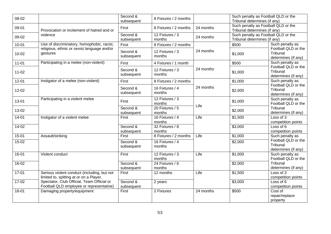| 08-02     |                                                                                        | Second &<br>subsequent | 8 Fixtures / 2 months     |           | Such penalty as Football QLD or the<br>Tribunal determines (if any) |                                                        |
|-----------|----------------------------------------------------------------------------------------|------------------------|---------------------------|-----------|---------------------------------------------------------------------|--------------------------------------------------------|
| 09-01     | Provocation or incitement of hatred and or                                             | First                  | 8 Fixtures / 2 months     | 24 months | Such penalty as Football QLD or the<br>Tribunal determines (if any) |                                                        |
| 09-02     | violence                                                                               | Second &<br>subsequent | 12 Fixtures / 3<br>months | 24 months | Such penalty as Football QLD or the<br>Tribunal determines (if any) |                                                        |
| $10 - 01$ | Use of discriminatory, homophobic, racist,                                             | First                  | 8 Fixtures / 2 months     |           | \$500                                                               | Such penalty as                                        |
| $10 - 02$ | religious, ethnic or sexist language and/or<br>gestures                                | Second &<br>subsequent | 12 Fixtures / 3<br>months | 24 months | \$1,000                                                             | Football QLD or the<br>Tribunal<br>determines (if any) |
| $11 - 01$ | Participating in a melee (non-violent)                                                 | First                  | 4 Fixtures / 1 month      |           | \$500                                                               | Such penalty as                                        |
| $11 - 02$ |                                                                                        | Second &<br>subsequent | 12 Fixtures / 3<br>months | 24 months | \$1,000                                                             | Football QLD or the<br>Tribunal<br>determines (if any) |
| $12 - 01$ | Instigator of a melee (non-violent)                                                    | First                  | 8 Fixtures / 2 months     |           | \$1,000                                                             | Such penalty as                                        |
| $12 - 02$ |                                                                                        | Second &<br>subsequent | 16 Fixtures / 4<br>months | 24 months | \$2,000                                                             | Football QLD or the<br>Tribunal<br>determines (if any) |
| 13-01     | Participating in a violent melee                                                       | First                  | 12 Fixtures / 3<br>months | Life      | \$1,000                                                             | Such penalty as<br>Football QLD or the                 |
| 13-02     |                                                                                        | Second &<br>subsequent | 20 Fixtures / 5<br>months |           | \$2,000                                                             | Tribunal<br>determines (if any)                        |
| $14-01$   | Instigator of a violent melee                                                          | First                  | 16 Fixtures / 4<br>months | Life      | \$1,500                                                             | Loss of $3$<br>competition points                      |
| $14-02$   |                                                                                        | Second &<br>subsequent | 32 Fixtures / 8<br>months |           | \$3,000                                                             | Loss of 6<br>competition points                        |
| $15 - 01$ | Assault/striking                                                                       | First                  | 8 Fixtures / 2 months     | Life      | $\overline{$}1,000$                                                 | Such penalty as                                        |
| $15-02$   |                                                                                        | Second &<br>subsequent | 16 Fixtures / 4<br>months |           | \$2,000                                                             | Football QLD or the<br>Tribunal<br>determines (if any) |
| 16-01     | Violent conduct                                                                        | First                  | 12 Fixtures / 3<br>months | Life      | $\overline{$1,000}$                                                 | Such penalty as<br>Football QLD or the                 |
| 16-02     |                                                                                        | Second &<br>subsequent | 24 Fixtures / 6<br>months |           | \$2,000                                                             | Tribunal<br>determines (if any)                        |
| $17 - 01$ | Serious violent conduct (including, but not<br>limited to, spitting at or on a Player, | First                  | 12 months                 | Life      | \$1,500                                                             | Loss of 3<br>competition points                        |
| $17-02$   | Spectator, Club Official, Team Official or<br>Football QLD employee or representative) | Second &<br>subsequent | 2 years                   |           | \$3,000                                                             | Loss of 6<br>competition points                        |
| 18-01     | Damaging property/equipment                                                            | First                  | 2 Fixtures                | 24 months | \$500                                                               | Cost of<br>repair/replace<br>property                  |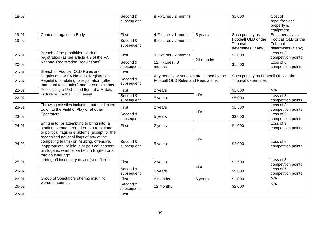| 18-02     |                                                                                                                                                                                                                                                           | Second &<br>subsequent | 8 Fixtures / 2 months                                                           |           | $\frac{1}{1,000}$                                                 | Cost of<br>repair/replace<br>property &<br>equipment   |
|-----------|-----------------------------------------------------------------------------------------------------------------------------------------------------------------------------------------------------------------------------------------------------------|------------------------|---------------------------------------------------------------------------------|-----------|-------------------------------------------------------------------|--------------------------------------------------------|
| 19-01     | Contempt against a Body                                                                                                                                                                                                                                   | First                  | 4 Fixtures / 1 month                                                            | 5 years   | Such penalty as                                                   | Such penalty as                                        |
| 19-02     |                                                                                                                                                                                                                                                           | Second &<br>subsequent | 8 Fixtures / 2 months                                                           |           | Football QLD or the<br>Tribunal<br>determines (if any)            | Football QLD or the<br>Tribunal<br>determines (if any) |
| $20 - 01$ | Breach of the prohibition on dual<br>registration (as per article 4.9 of the FA                                                                                                                                                                           | First                  | 8 Fixtures / 2 months                                                           | 24 months | \$1,000                                                           | Loss of 3<br>competition points                        |
| 20-02     | <b>National Registration Regulations)</b>                                                                                                                                                                                                                 | Second &<br>subsequent | 12 Fixtures / 3<br>months                                                       |           | \$1,500                                                           | Loss of 6<br>competition points                        |
| $21 - 01$ | Breach of Football QLD Rules and                                                                                                                                                                                                                          | First                  |                                                                                 |           |                                                                   |                                                        |
| $21 - 02$ | Regulations or FA National Registration<br>Regulations relating to registration (other<br>than dual registration) and/or competitions                                                                                                                     | Second &<br>subsequent | Any penalty or sanction prescribed by the<br>Football QLD Rules and Regulations |           | Such penalty as Football QLD or the<br><b>Tribunal determines</b> |                                                        |
| $22 - 01$ | Possessing a Prohibited Item at a Match,                                                                                                                                                                                                                  | First                  | 2 years                                                                         |           | \$1,000                                                           | N/A                                                    |
| 22-02     | <b>Fixture or Football QLD event</b>                                                                                                                                                                                                                      | Second &<br>subsequent | 5 years                                                                         | Life      | \$5,000                                                           | Loss of 3<br>competition points                        |
| 23-01     | Throwing missiles including, but not limited<br>to, on to the Field of Play or at other                                                                                                                                                                   | First                  | 2 years                                                                         | Life      | \$1,500                                                           | Loss of 3<br>competition points                        |
| 23-02     | Spectators                                                                                                                                                                                                                                                | Second &<br>subsequent | 5 years                                                                         |           | \$3,000                                                           | Loss of 6<br>competition points                        |
| $24 - 01$ | Bring in to (or attempting to bring into) a<br>stadium, venue, ground or centre national                                                                                                                                                                  | First                  | 2 years                                                                         |           | \$1,000                                                           | Loss of 3<br>competition points                        |
| 24-02     | or political flags or emblems (except for the<br>recognised national flags of any of the<br>competing teams) or insulting, offensive,<br>inappropriate, religious or political banners<br>or slogans, whether written in English or a<br>foreign language | Second &<br>subsequent | 5 years                                                                         | Life      | \$2,000                                                           | Loss of 6<br>competition points                        |
| $25 - 01$ | Letting off incendiary device(s) or fire(s)                                                                                                                                                                                                               | First                  | 2 years                                                                         | Life      | \$1,500                                                           | Loss of 3<br>competition points                        |
| 25-02     |                                                                                                                                                                                                                                                           | Second &<br>subsequent | 5 years                                                                         |           | \$5,000                                                           | Loss of 6<br>competition points                        |
| $26 - 01$ | Group of Spectators uttering insulting                                                                                                                                                                                                                    | First                  | 6 months                                                                        | 5 years   | \$1,000                                                           | N/A                                                    |
| 26-02     | words or sounds                                                                                                                                                                                                                                           | Second &<br>subsequent | 12 months                                                                       |           | \$2,000                                                           | N/A                                                    |
| $27 - 01$ |                                                                                                                                                                                                                                                           | First                  |                                                                                 |           |                                                                   |                                                        |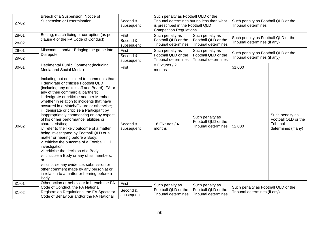| 27-02     | Breach of a Suspension, Notice of<br>Suspension or Determination                                                                                                                                                                                                                                                                                                                                                                                                                                                                                                                                                                                                                                                                                                                                                                                                                                                            | Second &<br>subsequent | Such penalty as Football QLD or the<br>Tribunal determines but no less than what<br>Such penalty as Football QLD or the<br><b>Tribunal determines</b><br>is prescribed in the Football QLD<br><b>Competition Regulations</b> |                                                                      |                                                                     |                                                                           |
|-----------|-----------------------------------------------------------------------------------------------------------------------------------------------------------------------------------------------------------------------------------------------------------------------------------------------------------------------------------------------------------------------------------------------------------------------------------------------------------------------------------------------------------------------------------------------------------------------------------------------------------------------------------------------------------------------------------------------------------------------------------------------------------------------------------------------------------------------------------------------------------------------------------------------------------------------------|------------------------|------------------------------------------------------------------------------------------------------------------------------------------------------------------------------------------------------------------------------|----------------------------------------------------------------------|---------------------------------------------------------------------|---------------------------------------------------------------------------|
| 28-01     | Betting, match-fixing or corruption (as per                                                                                                                                                                                                                                                                                                                                                                                                                                                                                                                                                                                                                                                                                                                                                                                                                                                                                 | First                  | Such penalty as                                                                                                                                                                                                              | Such penalty as                                                      | Such penalty as Football QLD or the                                 |                                                                           |
| 28-02     | clause 4 of the FA Code of Conduct)                                                                                                                                                                                                                                                                                                                                                                                                                                                                                                                                                                                                                                                                                                                                                                                                                                                                                         | Second &<br>subsequent | Football QLD or the<br><b>Tribunal determines</b>                                                                                                                                                                            | Football QLD or the<br><b>Tribunal determines</b>                    | Tribunal determines (if any)                                        |                                                                           |
| 29-01     | Misconduct and/or Bringing the game into                                                                                                                                                                                                                                                                                                                                                                                                                                                                                                                                                                                                                                                                                                                                                                                                                                                                                    | First                  | Such penalty as                                                                                                                                                                                                              | Such penalty as                                                      | Such penalty as Football QLD or the                                 |                                                                           |
| 29-02     | <b>Disrepute</b>                                                                                                                                                                                                                                                                                                                                                                                                                                                                                                                                                                                                                                                                                                                                                                                                                                                                                                            | Second &<br>subsequent | Football QLD or the<br>Tribunal determines                                                                                                                                                                                   | Football QLD or the<br><b>Tribunal determines</b>                    | Tribunal determines (if any)                                        |                                                                           |
| $30 - 01$ | Detrimental Public Comment (including<br>Media and Social Media)                                                                                                                                                                                                                                                                                                                                                                                                                                                                                                                                                                                                                                                                                                                                                                                                                                                            | First                  | 8 Fixtures / 2<br>months                                                                                                                                                                                                     |                                                                      | \$1,000                                                             |                                                                           |
| 30-02     | Including but not limited to, comments that:<br>i. denigrate or criticise Football QLD<br>(including any of its staff and Board), FA or<br>any of their commercial partners;<br>ii. denigrate or criticise another Member,<br>whether in relation to incidents that have<br>occurred in a Match/Fixture or otherwise;<br>iii. denigrate or criticise a Participant by<br>inappropriately commenting on any aspect<br>of his or her performance, abilities or<br>characteristics;<br>iv. refer to the likely outcome of a matter<br>being investigated by Football QLD or a<br>matter or hearing before a Body;<br>v. criticise the outcome of a Football QLD<br>investigation;<br>vi. criticise the decision of a Body;<br>vii criticise a Body or any of its members;<br>or<br>viii criticise any evidence, submission or<br>other comment made by any person at or<br>in relation to a matter or hearing before a<br>Body | Second &<br>subsequent | 16 Fixtures / 4<br>months                                                                                                                                                                                                    | Such penalty as<br>Football QLD or the<br><b>Tribunal determines</b> | \$2,000                                                             | Such penalty as<br>Football QLD or the<br>Tribunal<br>determines (if any) |
| $31 - 01$ | Other action or behaviour in breach the FA                                                                                                                                                                                                                                                                                                                                                                                                                                                                                                                                                                                                                                                                                                                                                                                                                                                                                  | First                  | Such penalty as                                                                                                                                                                                                              | Such penalty as                                                      |                                                                     |                                                                           |
| $31 - 02$ | Code of Conduct, the FA National<br>Registration Regulations, the FA Spectator<br>Code of Behaviour and/or the FA National                                                                                                                                                                                                                                                                                                                                                                                                                                                                                                                                                                                                                                                                                                                                                                                                  | Second &<br>subsequent | Football QLD or the<br><b>Tribunal determines</b>                                                                                                                                                                            | Football QLD or the<br><b>Tribunal determines</b>                    | Such penalty as Football QLD or the<br>Tribunal determines (if any) |                                                                           |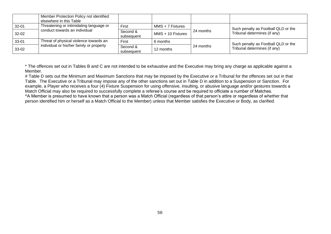|           | Member Protection Policy not identified<br>elsewhere in this Table |                        |                    |           |                                     |
|-----------|--------------------------------------------------------------------|------------------------|--------------------|-----------|-------------------------------------|
| $32 - 01$ | Threatening or intimidating language or                            | First                  | $MMS + 7$ Fixtures |           | Such penalty as Football QLD or the |
| $32 - 02$ | conduct towards an individual                                      | Second &<br>subsequent | MMS + 10 Fixtures  | 24 months | Tribunal determines (if any)        |
| $33 - 01$ | Threat of physical violence towards an                             | First                  | 6 months           |           | Such penalty as Football QLD or the |
| 33-02     | individual or his/her family or property                           | Second &<br>subsequent | 12 months          | 24 months | Tribunal determines (if any)        |

\* The offences set out in Tables B and C are not intended to be exhaustive and the Executive may bring any charge as applicable against a Member.

# Table D sets out the Minimum and Maximum Sanctions that may be imposed by the Executive or a Tribunal for the offences set out in that Table. The Executive or a Tribunal may impose any of the other sanctions set out in Table D in addition to a Suspension or Sanction. For example, a Player who receives a four (4) Fixture Suspension for using offensive, insulting, or abusive language and/or gestures towards a Match Official may also be required to successfully complete a referee's course and be required to officiate a number of Matches. ^A Member is presumed to have known that a person was a Match Official (regardless of that person's attire or regardless of whether that person identified him or herself as a Match Official to the Member) unless that Member satisfies the Executive or Body, as clarified.